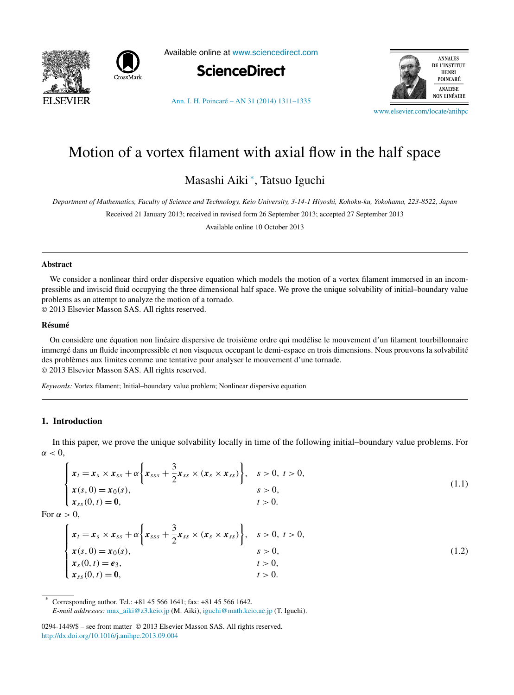<span id="page-0-0"></span>



Available online at [www.sciencedirect.com](http://www.sciencedirect.com)



[Ann. I. H. Poincaré – AN 31 \(2014\) 1311–1335](http://dx.doi.org/10.1016/j.anihpc.2013.09.004)



[www.elsevier.com/locate/anihpc](http://www.elsevier.com/locate/anihpc)

# Motion of a vortex filament with axial flow in the half space

Masashi Aiki <sup>∗</sup> , Tatsuo Iguchi

*Department of Mathematics, Faculty of Science and Technology, Keio University, 3-14-1 Hiyoshi, Kohoku-ku, Yokohama, 223-8522, Japan*

Received 21 January 2013; received in revised form 26 September 2013; accepted 27 September 2013

Available online 10 October 2013

#### **Abstract**

We consider a nonlinear third order dispersive equation which models the motion of a vortex filament immersed in an incompressible and inviscid fluid occupying the three dimensional half space. We prove the unique solvability of initial–boundary value problems as an attempt to analyze the motion of a tornado.

© 2013 Elsevier Masson SAS. All rights reserved.

#### **Résumé**

On considère une équation non linéaire dispersive de troisième ordre qui modélise le mouvement d'un filament tourbillonnaire immergé dans un fluide incompressible et non visqueux occupant le demi-espace en trois dimensions. Nous prouvons la solvabilité des problèmes aux limites comme une tentative pour analyser le mouvement d'une tornade. © 2013 Elsevier Masson SAS. All rights reserved.

*Keywords:* Vortex filament; Initial–boundary value problem; Nonlinear dispersive equation

## **1. Introduction**

In this paper, we prove the unique solvability locally in time of the following initial–boundary value problems. For  $\alpha < 0$ .

$$
\begin{cases}\n x_t = x_s \times x_{ss} + \alpha \left\{ x_{sss} + \frac{3}{2} x_{ss} \times (x_s \times x_{ss}) \right\}, & s > 0, t > 0, \\
 x(s, 0) = x_0(s), & s > 0, \\
 x_{ss}(0, t) = 0, & t > 0.\n\end{cases}
$$
\n(1.1)

For  $\alpha > 0$ ,

$$
\begin{cases}\n x_t = x_s \times x_{ss} + \alpha \left\{ x_{sss} + \frac{3}{2} x_{ss} \times (x_s \times x_{ss}) \right\}, & s > 0, t > 0, \\
 x(s, 0) = x_0(s), & s > 0, \\
 x_s(0, t) = e_3, & t > 0, \\
 x_{ss}(0, t) = 0, & t > 0.\n\end{cases}
$$
\n(1.2)

Corresponding author. Tel.: +81 45 566 1641; fax: +81 45 566 1642. *E-mail addresses:* [max\\_aiki@z3.keio.jp](mailto:max_aiki@z3.keio.jp) (M. Aiki), [iguchi@math.keio.ac.jp](mailto:iguchi@math.keio.ac.jp) (T. Iguchi).

<sup>0294-1449/\$ –</sup> see front matter © 2013 Elsevier Masson SAS. All rights reserved. <http://dx.doi.org/10.1016/j.anihpc.2013.09.004>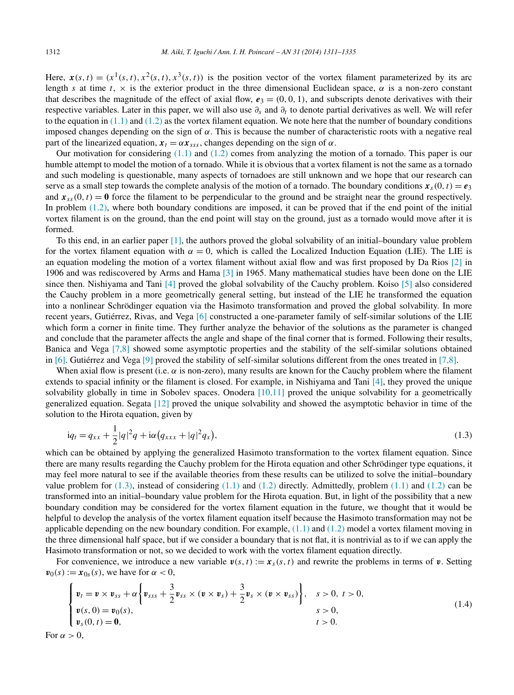<span id="page-1-0"></span>Here,  $\mathbf{x}(s,t) = (x^1(s,t), x^2(s,t), x^3(s,t))$  is the position vector of the vortex filament parameterized by its arc length *s* at time  $t$ ,  $\times$  is the exterior product in the three dimensional Euclidean space,  $\alpha$  is a non-zero constant that describes the magnitude of the effect of axial flow,  $e_3 = (0, 0, 1)$ , and subscripts denote derivatives with their respective variables. Later in this paper, we will also use *∂s* and *∂t* to denote partial derivatives as well. We will refer to the equation in  $(1.1)$  and  $(1.2)$  as the vortex filament equation. We note here that the number of boundary conditions imposed changes depending on the sign of  $\alpha$ . This is because the number of characteristic roots with a negative real part of the linearized equation,  $x_t = \alpha x_{ss}$ , changes depending on the sign of  $\alpha$ .

Our motivation for considering  $(1.1)$  and  $(1.2)$  comes from analyzing the motion of a tornado. This paper is our humble attempt to model the motion of a tornado. While it is obvious that a vortex filament is not the same as a tornado and such modeling is questionable, many aspects of tornadoes are still unknown and we hope that our research can serve as a small step towards the complete analysis of the motion of a tornado. The boundary conditions  $x_s(0, t) = e_3$ and  $\mathbf{x}_{ss}(0, t) = \mathbf{0}$  force the filament to be perpendicular to the ground and be straight near the ground respectively. In problem [\(1.2\),](#page-0-0) where both boundary conditions are imposed, it can be proved that if the end point of the initial vortex filament is on the ground, than the end point will stay on the ground, just as a tornado would move after it is formed.

To this end, in an earlier paper [\[1\],](#page-23-0) the authors proved the global solvability of an initial–boundary value problem for the vortex filament equation with  $\alpha = 0$ , which is called the Localized Induction Equation (LIE). The LIE is an equation modeling the motion of a vortex filament without axial flow and was first proposed by Da Rios [\[2\]](#page-23-0) in 1906 and was rediscovered by Arms and Hama [\[3\]](#page-23-0) in 1965. Many mathematical studies have been done on the LIE since then. Nishiyama and Tani [\[4\]](#page-23-0) proved the global solvability of the Cauchy problem. Koiso [\[5\]](#page-23-0) also considered the Cauchy problem in a more geometrically general setting, but instead of the LIE he transformed the equation into a nonlinear Schrödinger equation via the Hasimoto transformation and proved the global solvability. In more recent years, Gutiérrez, Rivas, and Vega [\[6\]](#page-23-0) constructed a one-parameter family of self-similar solutions of the LIE which form a corner in finite time. They further analyze the behavior of the solutions as the parameter is changed and conclude that the parameter affects the angle and shape of the final corner that is formed. Following their results, Banica and Vega [\[7,8\]](#page-23-0) showed some asymptotic properties and the stability of the self-similar solutions obtained in [\[6\].](#page-23-0) Gutiérrez and Vega [\[9\]](#page-24-0) proved the stability of self-similar solutions different from the ones treated in [\[7,8\].](#page-23-0)

When axial flow is present (i.e.  $\alpha$  is non-zero), many results are known for the Cauchy problem where the filament extends to spacial infinity or the filament is closed. For example, in Nishiyama and Tani [\[4\],](#page-23-0) they proved the unique solvability globally in time in Sobolev spaces. Onodera  $[10,11]$  proved the unique solvability for a geometrically generalized equation. Segata [\[12\]](#page-24-0) proved the unique solvability and showed the asymptotic behavior in time of the solution to the Hirota equation, given by

$$
iq_t = q_{xx} + \frac{1}{2}|q|^2 q + i\alpha (q_{xxx} + |q|^2 q_x),
$$
\n(1.3)

which can be obtained by applying the generalized Hasimoto transformation to the vortex filament equation. Since there are many results regarding the Cauchy problem for the Hirota equation and other Schrödinger type equations, it may feel more natural to see if the available theories from these results can be utilized to solve the initial–boundary value problem for (1.3), instead of considering [\(1.1\)](#page-0-0) and [\(1.2\)](#page-0-0) directly. Admittedly, problem [\(1.1\)](#page-0-0) and [\(1.2\)](#page-0-0) can be transformed into an initial–boundary value problem for the Hirota equation. But, in light of the possibility that a new boundary condition may be considered for the vortex filament equation in the future, we thought that it would be helpful to develop the analysis of the vortex filament equation itself because the Hasimoto transformation may not be applicable depending on the new boundary condition. For example,  $(1.1)$  and  $(1.2)$  model a vortex filament moving in the three dimensional half space, but if we consider a boundary that is not flat, it is nontrivial as to if we can apply the Hasimoto transformation or not, so we decided to work with the vortex filament equation directly.

For convenience, we introduce a new variable  $v(s, t) := x_s(s, t)$  and rewrite the problems in terms of **v**. Setting  $\mathbf{v}_0(s) := \mathbf{x}_{0s}(s)$ , we have for  $\alpha < 0$ ,

$$
\begin{cases}\n\mathbf{v}_t = \mathbf{v} \times \mathbf{v}_{ss} + \alpha \left\{ \mathbf{v}_{sss} + \frac{3}{2} \mathbf{v}_{ss} \times (\mathbf{v} \times \mathbf{v}_s) + \frac{3}{2} \mathbf{v}_s \times (\mathbf{v} \times \mathbf{v}_{ss}) \right\}, & s > 0, \ t > 0, \\
\mathbf{v}(s, 0) = \mathbf{v}_0(s), & s > 0, \\
\mathbf{v}_s(0, t) = \mathbf{0}, & t > 0.\n\end{cases}
$$
\n(1.4)

For  $\alpha > 0$ ,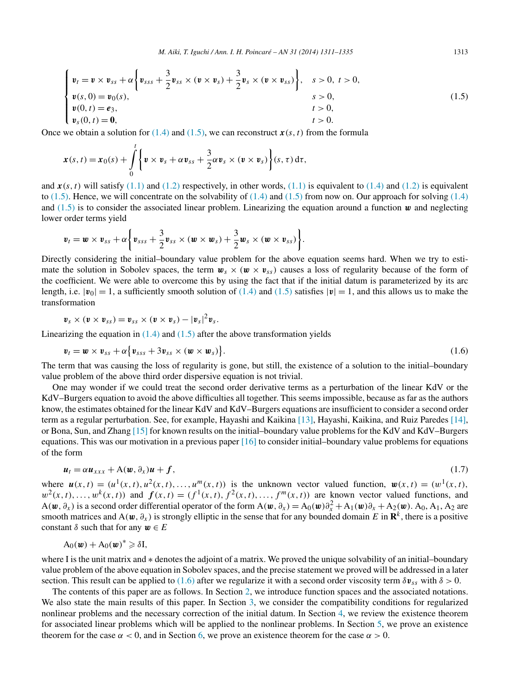$$
\begin{cases}\n\mathbf{v}_t = \mathbf{v} \times \mathbf{v}_{ss} + \alpha \left\{ \mathbf{v}_{sss} + \frac{3}{2} \mathbf{v}_{ss} \times (\mathbf{v} \times \mathbf{v}_s) + \frac{3}{2} \mathbf{v}_s \times (\mathbf{v} \times \mathbf{v}_{ss}) \right\}, & s > 0, t > 0, \\
\mathbf{v}(s, 0) = \mathbf{v}_0(s), & s > 0, \\
\mathbf{v}(0, t) = \mathbf{e}_3, & t > 0, \\
\mathbf{v}_s(0, t) = \mathbf{0}, & t > 0.\n\end{cases}
$$
\n(1.5)

Once we obtain a solution for  $(1.4)$  and  $(1.5)$ , we can reconstruct  $\mathbf{x}(s, t)$  from the formula

$$
\boldsymbol{x}(s,t) = \boldsymbol{x}_0(s) + \int\limits_0^t \left\{ \boldsymbol{v} \times \boldsymbol{v}_s + \alpha \boldsymbol{v}_{ss} + \frac{3}{2} \alpha \boldsymbol{v}_s \times (\boldsymbol{v} \times \boldsymbol{v}_s) \right\} (s,\tau) d\tau,
$$

and  $x(s, t)$  will satisfy [\(1.1\)](#page-0-0) and [\(1.2\)](#page-0-0) respectively, in other words, (1.1) is equivalent to [\(1.4\)](#page-1-0) and (1.2) is equivalent to  $(1.5)$ . Hence, we will concentrate on the solvability of  $(1.4)$  and  $(1.5)$  from now on. Our approach for solving  $(1.4)$ and  $(1.5)$  is to consider the associated linear problem. Linearizing the equation around a function  $\boldsymbol{w}$  and neglecting lower order terms yield

$$
\boldsymbol{v}_t = \boldsymbol{w} \times \boldsymbol{v}_{ss} + \alpha \left\{ \boldsymbol{v}_{sss} + \frac{3}{2} \boldsymbol{v}_{ss} \times (\boldsymbol{w} \times \boldsymbol{w}_s) + \frac{3}{2} \boldsymbol{w}_s \times (\boldsymbol{w} \times \boldsymbol{v}_{ss}) \right\}.
$$

Directly considering the initial–boundary value problem for the above equation seems hard. When we try to estimate the solution in Sobolev spaces, the term  $w_s \times (w \times v_{ss})$  causes a loss of regularity because of the form of the coefficient. We were able to overcome this by using the fact that if the initial datum is parameterized by its arc length, i.e.  $|\mathbf{v}_0| = 1$ , a sufficiently smooth solution of [\(1.4\)](#page-1-0) and (1.5) satisfies  $|\mathbf{v}| = 1$ , and this allows us to make the transformation

$$
\mathbf{v}_s\times(\mathbf{v}\times\mathbf{v}_{ss})=\mathbf{v}_{ss}\times(\mathbf{v}\times\mathbf{v}_s)-|\mathbf{v}_s|^2\mathbf{v}_s.
$$

Linearizing the equation in  $(1.4)$  and  $(1.5)$  after the above transformation yields

$$
\boldsymbol{v}_t = \boldsymbol{w} \times \boldsymbol{v}_{ss} + \alpha \big\{ \boldsymbol{v}_{sss} + 3 \boldsymbol{v}_{ss} \times (\boldsymbol{w} \times \boldsymbol{w}_s) \big\}.
$$
 (1.6)

The term that was causing the loss of regularity is gone, but still, the existence of a solution to the initial–boundary value problem of the above third order dispersive equation is not trivial.

One may wonder if we could treat the second order derivative terms as a perturbation of the linear KdV or the KdV–Burgers equation to avoid the above difficulties all together. This seems impossible, because as far as the authors know, the estimates obtained for the linear KdV and KdV–Burgers equations are insufficient to consider a second order term as a regular perturbation. See, for example, Hayashi and Kaikina [\[13\],](#page-24-0) Hayashi, Kaikina, and Ruiz Paredes [\[14\],](#page-24-0) or Bona, Sun, and Zhang [\[15\]](#page-24-0) for known results on the initial–boundary value problems for the KdV and KdV–Burgers equations. This was our motivation in a previous paper  $[16]$  to consider initial–boundary value problems for equations of the form

$$
\boldsymbol{u}_t = \alpha \boldsymbol{u}_{xxx} + A(\boldsymbol{w}, \partial_x) \boldsymbol{u} + \boldsymbol{f}, \tag{1.7}
$$

where  $u(x, t) = (u^1(x, t), u^2(x, t), \dots, u^m(x, t))$  is the unknown vector valued function,  $w(x, t) = (w^1(x, t), \dots, w^m(x, t))$  $w^{2}(x, t), \ldots, w^{k}(x, t)$  and  $f(x, t) = (f^{1}(x, t), f^{2}(x, t), \ldots, f^{m}(x, t))$  are known vector valued functions, and  $A(\mathbf{w}, \partial_x)$  is a second order differential operator of the form  $A(\mathbf{w}, \partial_x) = A_0(\mathbf{w})\partial_x^2 + A_1(\mathbf{w})\partial_x + A_2(\mathbf{w})$ .  $A_0$ ,  $A_1$ ,  $A_2$  are smooth matrices and  $A(w, \partial_x)$  is strongly elliptic in the sense that for any bounded domain *E* in  $\mathbb{R}^k$ , there is a positive constant  $\delta$  such that for any  $\mathbf{w} \in E$ 

$$
A_0(\boldsymbol{w}) + A_0(\boldsymbol{w})^* \geqslant \delta I,
$$

where I is the unit matrix and ∗ denotes the adjoint of a matrix. We proved the unique solvability of an initial–boundary value problem of the above equation in Sobolev spaces, and the precise statement we proved will be addressed in a later section. This result can be applied to (1.6) after we regularize it with a second order viscosity term  $\delta v_{ss}$  with  $\delta > 0$ .

The contents of this paper are as follows. In Section [2,](#page-3-0) we introduce function spaces and the associated notations. We also state the main results of this paper. In Section [3,](#page-3-0) we consider the compatibility conditions for regularized nonlinear problems and the necessary correction of the initial datum. In Section [4,](#page-8-0) we review the existence theorem for associated linear problems which will be applied to the nonlinear problems. In Section [5,](#page-10-0) we prove an existence theorem for the case  $\alpha < 0$ , and in Section [6,](#page-21-0) we prove an existence theorem for the case  $\alpha > 0$ .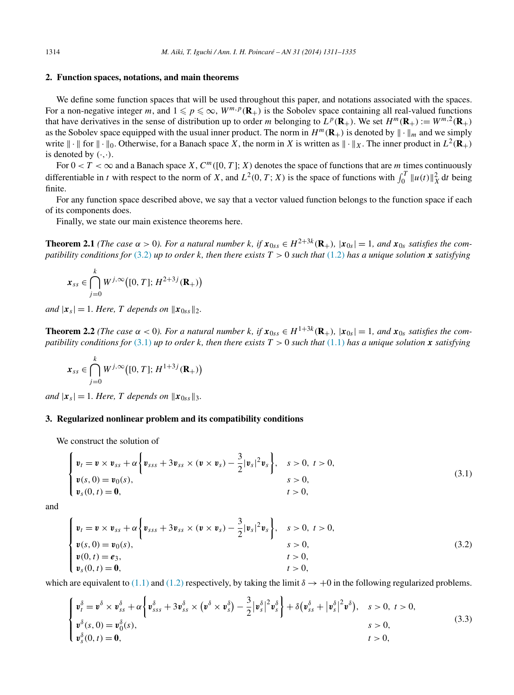### <span id="page-3-0"></span>**2. Function spaces, notations, and main theorems**

We define some function spaces that will be used throughout this paper, and notations associated with the spaces. For a non-negative integer *m*, and  $1 \leq p \leq \infty$ ,  $W^{m,p}(\mathbf{R}_+)$  is the Sobolev space containing all real-valued functions that have derivatives in the sense of distribution up to order *m* belonging to  $L^p(\mathbf{R}_+)$ . We set  $H^m(\mathbf{R}_+) := W^{m,2}(\mathbf{R}_+)$ as the Sobolev space equipped with the usual inner product. The norm in  $H^m(\mathbf{R}_+)$  is denoted by  $\|\cdot\|_m$  and we simply write  $\|\cdot\|$  for  $\|\cdot\|_0$ . Otherwise, for a Banach space *X*, the norm in *X* is written as  $\|\cdot\|_X$ . The inner product in  $L^2(\mathbf{R}_+)$ is denoted by  $(\cdot, \cdot)$ .

For  $0 < T < \infty$  and a Banach space *X*,  $C^m([0, T]; X)$  denotes the space of functions that are *m* times continuously differentiable in *t* with respect to the norm of *X*, and  $L^2(0, T; X)$  is the space of functions with  $\int_0^T \|u(t)\|_X^2 dt$  being finite.

For any function space described above, we say that a vector valued function belongs to the function space if each of its components does.

Finally, we state our main existence theorems here.

**Theorem 2.1** (The case  $\alpha > 0$ ). For a natural number k, if  $x_{0ss} \in H^{2+3k}(\mathbf{R}_{+})$ ,  $|x_{0s}| = 1$ , and  $x_{0s}$  satisfies the com*patibility conditions for* (3.2) *up to order k, then there exists*  $T > 0$  *such that* [\(1.2\)](#page-0-0) *has a unique solution x <i>satisfying* 

$$
\boldsymbol{x}_{ss} \in \bigcap_{j=0}^{k} W^{j,\infty}\big([0,T];\,^{2+3j}(\mathbf{R}_{+})\big)
$$

*and*  $|\mathbf{x}_s| = 1$ *. Here, T depends on*  $||\mathbf{x}_{0ss}||_2$ *.* 

**Theorem 2.2** (The case  $\alpha$  < 0). For a natural number k, if  $x_{0ss} \in H^{1+3k}(\mathbf{R}_{+})$ ,  $|x_{0s}| = 1$ , and  $x_{0s}$  satisfies the com*patibility conditions for* (3.1) *up to order k, then there exists*  $T > 0$  *such that* [\(1.1\)](#page-0-0) *has a unique solution x satisfying* 

$$
\mathbf{x}_{ss} \in \bigcap_{j=0}^{k} W^{j,\infty}\big([0,T]; H^{1+3j}(\mathbf{R}_{+})\big)
$$

*and*  $|\mathbf{x}_s| = 1$ *. Here, T depends on*  $||\mathbf{x}_{0ss}||_3$ *.* 

# **3. Regularized nonlinear problem and its compatibility conditions**

We construct the solution of

$$
\begin{cases}\n v_t = v \times v_{ss} + \alpha \left\{ v_{sss} + 3v_{ss} \times (v \times v_s) - \frac{3}{2} |v_s|^2 v_s \right\}, & s > 0, \ t > 0, \\
 v(s, 0) = v_0(s), & s > 0, \\
 v_s(0, t) = 0, & t > 0,\n\end{cases}
$$
\n(3.1)

and

$$
\begin{cases}\n v_t = v \times v_{ss} + \alpha \left\{ v_{sss} + 3v_{ss} \times (v \times v_s) - \frac{3}{2} |v_s|^2 v_s \right\}, & s > 0, \ t > 0, \\
 v(s, 0) = v_0(s), & s > 0, \\
 v(0, t) = e_3, & t > 0, \\
 v_s(0, t) = 0, & t > 0,\n\end{cases}
$$
\n(3.2)

which are equivalent to [\(1.1\)](#page-0-0) and [\(1.2\)](#page-0-0) respectively, by taking the limit  $\delta \rightarrow +0$  in the following regularized problems.

$$
\begin{cases}\n\mathbf{v}_{t}^{\delta} = \mathbf{v}^{\delta} \times \mathbf{v}_{ss}^{\delta} + \alpha \left\{ \mathbf{v}_{sss}^{\delta} + 3 \mathbf{v}_{ss}^{\delta} \times (\mathbf{v}^{\delta} \times \mathbf{v}_{s}^{\delta}) - \frac{3}{2} |\mathbf{v}_{s}^{\delta}|^{2} \mathbf{v}_{s}^{\delta} \right\} + \delta (\mathbf{v}_{ss}^{\delta} + |\mathbf{v}_{s}^{\delta}|^{2} \mathbf{v}^{\delta}), \quad s > 0, \ t > 0, \\
\mathbf{v}_{s}^{\delta}(s, 0) = \mathbf{v}_{0}^{\delta}(s), \quad s > 0, \ t > 0, \\
\mathbf{v}_{s}^{\delta}(0, t) = \mathbf{0}, \quad t > 0, \ t > 0,\n\end{cases}
$$
\n(3.3)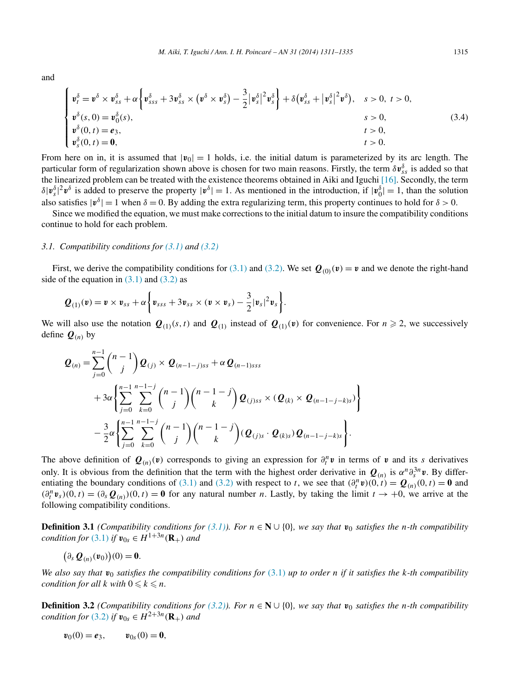<span id="page-4-0"></span>and

$$
\begin{cases}\n\mathbf{v}_{t}^{\delta} = \mathbf{v}^{\delta} \times \mathbf{v}_{ss}^{\delta} + \alpha \left\{ \mathbf{v}_{sss}^{\delta} + 3 \mathbf{v}_{ss}^{\delta} \times (\mathbf{v}^{\delta} \times \mathbf{v}_{s}^{\delta}) - \frac{3}{2} |\mathbf{v}_{s}^{\delta}|^{2} \mathbf{v}_{s}^{\delta} \right\} + \delta (\mathbf{v}_{ss}^{\delta} + |\mathbf{v}_{s}^{\delta}|^{2} \mathbf{v}^{\delta}), \quad s > 0, \ t > 0, \\
\mathbf{v}^{\delta}(s, 0) = \mathbf{v}_{0}^{\delta}(s), & s > 0, \ t > 0, \\
\mathbf{v}^{\delta}(0, t) = \mathbf{e}_{3}, & t > 0, \\
\mathbf{v}_{s}^{\delta}(0, t) = \mathbf{0}, & t > 0, \\
\mathbf{v}_{s}^{\delta}(0, t) = \mathbf{0}, & t > 0.\n\end{cases}
$$
\n(3.4)

From here on in, it is assumed that  $|v_0| = 1$  holds, i.e. the initial datum is parameterized by its arc length. The particular form of regularization shown above is chosen for two main reasons. Firstly, the term  $\delta v_{ss}^{\delta}$  is added so that the linearized problem can be treated with the existence theorems obtained in Aiki and Iguchi [\[16\].](#page-24-0) Secondly, the term  $\delta |\nu_s^{\delta}|^2 v^{\delta}$  is added to preserve the property  $|\nu^{\delta}| = 1$ . As mentioned in the introduction, if  $|\nu_0^{\delta}| = 1$ , than the solution also satisfies  $|\mathbf{v}^{\delta}| = 1$  when  $\delta = 0$ . By adding the extra regularizing term, this property continues to hold for  $\delta > 0$ .

Since we modified the equation, we must make corrections to the initial datum to insure the compatibility conditions continue to hold for each problem.

#### *3.1. Compatibility conditions for [\(3.1\)](#page-3-0) and [\(3.2\)](#page-3-0)*

First, we derive the compatibility conditions for [\(3.1\)](#page-3-0) and [\(3.2\).](#page-3-0) We set  $Q_{(0)}(v) = v$  and we denote the right-hand side of the equation in  $(3.1)$  and  $(3.2)$  as

$$
\boldsymbol{Q}_{(1)}(\boldsymbol{v}) = \boldsymbol{v} \times \boldsymbol{v}_{ss} + \alpha \bigg\{ \boldsymbol{v}_{sss} + 3 \boldsymbol{v}_{ss} \times (\boldsymbol{v} \times \boldsymbol{v}_s) - \frac{3}{2} |\boldsymbol{v}_s|^2 \boldsymbol{v}_s \bigg\}.
$$

We will also use the notation  $Q_{(1)}(s, t)$  and  $Q_{(1)}$  instead of  $Q_{(1)}(v)$  for convenience. For  $n \ge 2$ , we successively define  $\mathbf{Q}_{(n)}$  by

$$
\mathbf{Q}_{(n)} = \sum_{j=0}^{n-1} {n-1 \choose j} \mathbf{Q}_{(j)} \times \mathbf{Q}_{(n-1-j)ss} + \alpha \mathbf{Q}_{(n-1)sss} \n+ 3\alpha \left\{ \sum_{j=0}^{n-1} \sum_{k=0}^{n-1-j} {n-1 \choose j} {n-1-j \choose k} \mathbf{Q}_{(j)ss} \times (\mathbf{Q}_{(k)} \times \mathbf{Q}_{(n-1-j-k)s}) \right\} \n- \frac{3}{2}\alpha \left\{ \sum_{j=0}^{n-1} \sum_{k=0}^{n-1-j} {n-1 \choose j} {n-1-j \choose k} (\mathbf{Q}_{(j)s} \cdot \mathbf{Q}_{(k)s}) \mathbf{Q}_{(n-1-j-k)s} \right\}.
$$

The above definition of  $Q(n)(v)$  corresponds to giving an expression for  $\partial_t^n v$  in terms of  $v$  and its *s* derivatives only. It is obvious from the definition that the term with the highest order derivative in  $Q_{(n)}$  is  $\alpha^n \partial_s^3 n v$ . By differ-entiating the boundary conditions of [\(3.1\)](#page-3-0) and [\(3.2\)](#page-3-0) with respect to *t*, we see that  $(\partial_t^n \mathbf{v})(0, t) = \mathbf{Q}_{(n)}(0, t) = \mathbf{0}$  and  $(\partial_t^n v_s)(0, t) = (\partial_s \mathcal{Q}_{(n)})(0, t) = \mathbf{0}$  for any natural number *n*. Lastly, by taking the limit  $t \to +0$ , we arrive at the following compatibility conditions.

**Definition 3.1** *(Compatibility conditions for* [\(3.1\)\)](#page-3-0)*. For*  $n \in \mathbb{N} \cup \{0\}$ *, we say that*  $v_0$  *satisfies the n*-th compatibility *condition for* [\(3.1\)](#page-3-0) *if*  $v_{0s} \in H^{1+3n}(\mathbf{R}_+)$  *and* 

$$
\big(\partial_s \mathbf{Q}_{(n)}(\mathbf{v}_0)\big)(0) = \mathbf{0}.
$$

*We also say that*  $v_0$  *satisfies the compatibility conditions for* [\(3.1\)](#page-3-0) *up to order n if it satisfies the k-th compatibility condition for all*  $k$  *with*  $0 \le k \le n$ *.* 

**Definition 3.2** *(Compatibility conditions for* [\(3.2\)\)](#page-3-0)*. For*  $n \in \mathbb{N} \cup \{0\}$ *, we say that*  $v_0$  *satisfies the n-th compatibility condition for* [\(3.2\)](#page-3-0) *if*  $v_{0s} \in H^{2+3n}(\mathbf{R}_+)$  *and* 

$$
\mathbf{v}_0(0) = \mathbf{e}_3, \qquad \mathbf{v}_{0s}(0) = \mathbf{0},
$$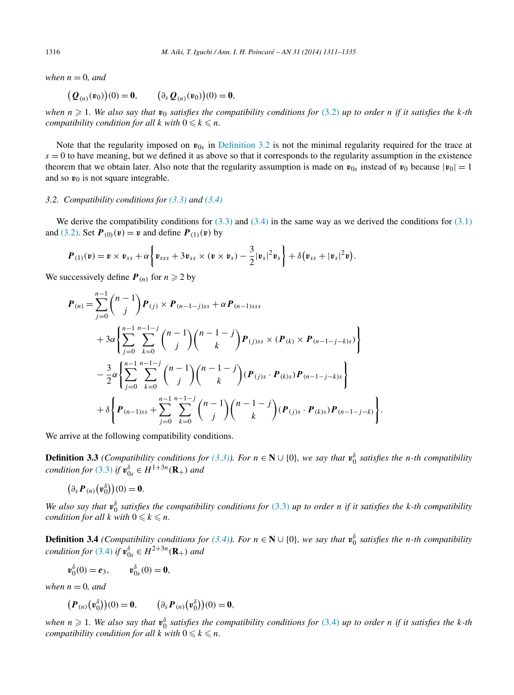*when*  $n = 0$ *, and* 

$$
(Q_{(n)}(v_0))(0) = 0,
$$
  $(\partial_s Q_{(n)}(v_0))(0) = 0,$ 

when  $n \ge 1$ . We also say that  $v_0$  satisfies the compatibility conditions for  $(3.2)$  up to order n if it satisfies the k-th *compatibility condition for all*  $k$  *with*  $0 \le k \le n$ *.* 

Note that the regularity imposed on  $v_{0s}$  in [Definition 3.2](#page-4-0) is not the minimal regularity required for the trace at  $s = 0$  to have meaning, but we defined it as above so that it corresponds to the regularity assumption in the existence theorem that we obtain later. Also note that the regularity assumption is made on  $v_{0s}$  instead of  $v_0$  because  $|v_0| = 1$ and so  $v_0$  is not square integrable.

#### *3.2. Compatibility conditions for [\(3.3\)](#page-3-0) and [\(3.4\)](#page-4-0)*

We derive the compatibility conditions for  $(3.3)$  and  $(3.4)$  in the same way as we derived the conditions for  $(3.1)$ and [\(3.2\).](#page-3-0) Set  $P_{(0)}(v) = v$  and define  $P_{(1)}(v)$  by

$$
\boldsymbol{P}_{(1)}(\boldsymbol{v}) = \boldsymbol{v} \times \boldsymbol{v}_{ss} + \alpha \bigg\{ \boldsymbol{v}_{sss} + 3 \boldsymbol{v}_{ss} \times (\boldsymbol{v} \times \boldsymbol{v}_s) - \frac{3}{2} |\boldsymbol{v}_s|^2 \boldsymbol{v}_s \bigg\} + \delta (\boldsymbol{v}_{ss} + |\boldsymbol{v}_s|^2 \boldsymbol{v}).
$$

We successively define  $P(n)$  for  $n \ge 2$  by

$$
\mathbf{P}_{(n)} = \sum_{j=0}^{n-1} {n-1 \choose j} \mathbf{P}_{(j)} \times \mathbf{P}_{(n-1-j)ss} + \alpha \mathbf{P}_{(n-1)sss} \n+ 3\alpha \left\{ \sum_{j=0}^{n-1} \sum_{k=0}^{n-1-j} {n-1 \choose j} {n-1-j \choose k} \mathbf{P}_{(j)ss} \times (\mathbf{P}_{(k)} \times \mathbf{P}_{(n-1-j-k)s}) \right\} \n- \frac{3}{2}\alpha \left\{ \sum_{j=0}^{n-1} \sum_{k=0}^{n-1-j} {n-1 \choose j} {n-1-j \choose k} (\mathbf{P}_{(j)s} \cdot \mathbf{P}_{(k)s}) \mathbf{P}_{(n-1-j-k)s} \right\} \n+ \delta \left\{ \mathbf{P}_{(n-1)ss} + \sum_{j=0}^{n-1} \sum_{k=0}^{n-1-j} {n-1 \choose j} {n-1-j \choose k} (\mathbf{P}_{(j)s} \cdot \mathbf{P}_{(k)s}) \mathbf{P}_{(n-1-j-k)} \right\}.
$$

We arrive at the following compatibility conditions.

**Definition 3.3** *(Compatibility conditions for* [\(3.3\)\)](#page-3-0). For  $n \in \mathbb{N} \cup \{0\}$ , we say that  $v_0^{\delta}$  satisfies the *n*-th compatibility *condition for* [\(3.3\)](#page-3-0) *if*  $v_{0s}^{\delta} \in H^{1+3n}(\mathbf{R}_+)$  *and* 

$$
(\partial_s \boldsymbol{P}_{(n)}(\boldsymbol{v}_0^{\delta}))(0) = \mathbf{0}.
$$

*We also say that*  $v_0^{\delta}$  *satisfies the compatibility conditions for* [\(3.3\)](#page-3-0) *up to order n if it satisfies the k*-th compatibility *condition for all*  $k$  *with*  $0 \le k \le n$ *.* 

**Definition 3.4** *(Compatibility conditions for* [\(3.4\)\)](#page-4-0). For  $n \in \mathbb{N} \cup \{0\}$ , we say that  $v_0^{\delta}$  satisfies the *n*-th compatibility *condition for* [\(3.4\)](#page-4-0) *if*  $v_{0s}^{\delta} \in H^{2+3n}(\mathbf{R}_+)$  *and* 

$$
\pmb{v}_0^{\delta}(0) = \pmb{e}_3, \qquad \pmb{v}_{0s}^{\delta}(0) = \pmb{0},
$$

*when*  $n = 0$ *, and* 

$$
\big(P_{(n)}\big(v_0^{\delta}\big)\big)(0) = \mathbf{0}, \qquad \big(\partial_s P_{(n)}\big(v_0^{\delta}\big)\big)(0) = \mathbf{0},
$$

*when*  $n \ge 1$ . We also say that  $v_0^{\delta}$  satisfies the compatibility conditions for [\(3.4\)](#page-4-0) up to order *n* if it satisfies the *k*-th *compatibility condition for all*  $k$  *with*  $0 \le k \le n$ *.*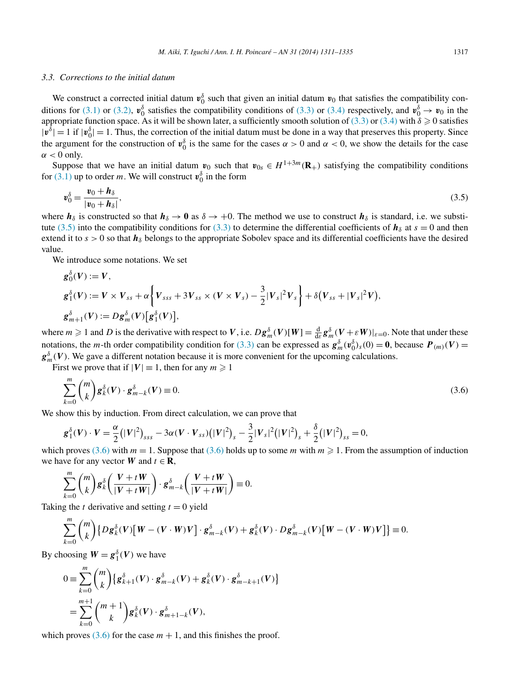#### <span id="page-6-0"></span>*3.3. Corrections to the initial datum*

We construct a corrected initial datum  $v_0^{\delta}$  such that given an initial datum  $v_0$  that satisfies the compatibility con-ditions for [\(3.1\)](#page-3-0) or [\(3.2\),](#page-3-0)  $v_0^{\delta}$  satisfies the compatibility conditions of [\(3.3\)](#page-3-0) or [\(3.4\)](#page-4-0) respectively, and  $v_0^{\delta} \to v_0$  in the appropriate function space. As it will be shown later, a sufficiently smooth solution of [\(3.3\)](#page-3-0) or [\(3.4\)](#page-4-0) with  $\delta \geqslant 0$  satisfies  $|v^{\delta}| = 1$  if  $|v^{\delta}_{0}| = 1$ . Thus, the correction of the initial datum must be done in a way that preserves this property. Since the argument for the construction of  $v_0^{\delta}$  is the same for the cases  $\alpha > 0$  and  $\alpha < 0$ , we show the details for the case  $\alpha$  < 0 only.

Suppose that we have an initial datum  $v_0$  such that  $v_{0s} \in H^{1+3m}(\mathbf{R}_+)$  satisfying the compatibility conditions for  $(3.1)$  up to order *m*. We will construct  $\mathbf{v}_0^{\delta}$  in the form

$$
\mathbf{v}_0^{\delta} = \frac{\mathbf{v}_0 + \mathbf{h}_{\delta}}{|\mathbf{v}_0 + \mathbf{h}_{\delta}|},\tag{3.5}
$$

where  $h_\delta$  is constructed so that  $h_\delta \to 0$  as  $\delta \to +0$ . The method we use to construct  $h_\delta$  is standard, i.e. we substi-tute (3.5) into the compatibility conditions for [\(3.3\)](#page-3-0) to determine the differential coefficients of  $h_\delta$  at  $s = 0$  and then extend it to  $s > 0$  so that  $h_\delta$  belongs to the appropriate Sobolev space and its differential coefficients have the desired value.

We introduce some notations. We set

$$
\begin{aligned} \mathbf{g}_{0}^{\delta}(V) &:= V, \\ \mathbf{g}_{1}^{\delta}(V) &:= V \times V_{ss} + \alpha \bigg\{ V_{sss} + 3V_{ss} \times (V \times V_{s}) - \frac{3}{2} |V_{s}|^{2} V_{s} \bigg\} + \delta (V_{ss} + |V_{s}|^{2} V), \\ \mathbf{g}_{m+1}^{\delta}(V) &:= D \mathbf{g}_{m}^{\delta}(V) [\mathbf{g}_{1}^{\delta}(V)], \end{aligned}
$$

where  $m \ge 1$  and D is the derivative with respect to V, i.e.  $Dg_m^{\delta}(V)[W] = \frac{d}{d\epsilon} g_m^{\delta}(V + \epsilon W)|_{\epsilon=0}$ . Note that under these notations, the *m*-th order compatibility condition for [\(3.3\)](#page-3-0) can be expressed as  $g_m^{\delta}(\mathbf{v}_0^{\delta})_s(0) = \mathbf{0}$ , because  $P_{(m)}(V) =$  $g_m^{\delta}(V)$ . We gave a different notation because it is more convenient for the upcoming calculations.

First we prove that if  $|V| \equiv 1$ , then for any  $m \ge 1$ 

$$
\sum_{k=0}^{m} \binom{m}{k} \mathbf{g}_k^{\delta}(V) \cdot \mathbf{g}_{m-k}^{\delta}(V) \equiv 0. \tag{3.6}
$$

We show this by induction. From direct calculation, we can prove that

$$
\mathbf{g}_1^{\delta}(V) \cdot V = \frac{\alpha}{2} (|V|^2)_{sss} - 3\alpha (V \cdot V_{ss}) (|V|^2)_{s} - \frac{3}{2} |V_s|^2 (|V|^2)_{s} + \frac{\delta}{2} (|V|^2)_{ss} = 0,
$$

which proves (3.6) with  $m = 1$ . Suppose that (3.6) holds up to some  $m$  with  $m \ge 1$ . From the assumption of induction we have for any vector *W* and  $t \in \mathbf{R}$ ,

$$
\sum_{k=0}^{m} {m \choose k} \mathbf{g}_{k}^{\delta} \left( \frac{\mathbf{V} + t \mathbf{W}}{|\mathbf{V} + t \mathbf{W}|} \right) \cdot \mathbf{g}_{m-k}^{\delta} \left( \frac{\mathbf{V} + t \mathbf{W}}{|\mathbf{V} + t \mathbf{W}|} \right) \equiv 0.
$$

Taking the *t* derivative and setting  $t = 0$  yield

$$
\sum_{k=0}^{m} {m \choose k} \left\{ Dg_k^{\delta}(V) \left[ W - (V \cdot W)V \right] \cdot g_{m-k}^{\delta}(V) + g_k^{\delta}(V) \cdot Dg_{m-k}^{\delta}(V) \left[ W - (V \cdot W)V \right] \right\} \equiv 0.
$$

By choosing  $W = g_1^{\delta}(V)$  we have

$$
0 \equiv \sum_{k=0}^{m} {m \choose k} \left\{ g_{k+1}^{\delta}(V) \cdot g_{m-k}^{\delta}(V) + g_{k}^{\delta}(V) \cdot g_{m-k+1}^{\delta}(V) \right\}
$$
  

$$
= \sum_{k=0}^{m+1} {m+1 \choose k} g_{k}^{\delta}(V) \cdot g_{m+1-k}^{\delta}(V),
$$

which proves  $(3.6)$  for the case  $m + 1$ , and this finishes the proof.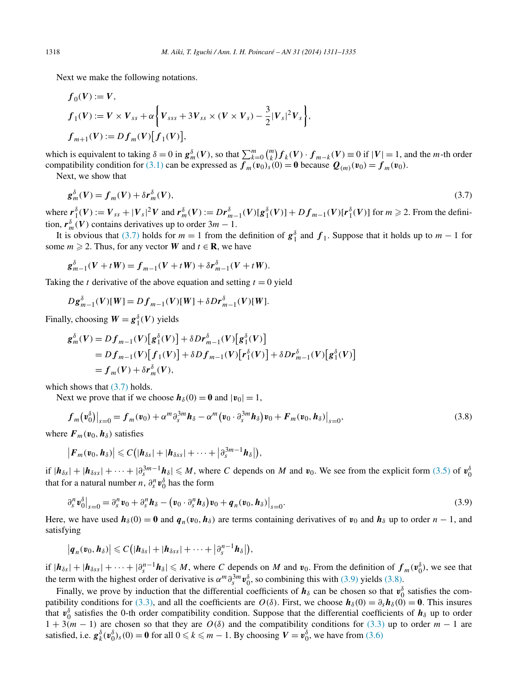<span id="page-7-0"></span>Next we make the following notations.

$$
f_0(V) := V,
$$
  
\n
$$
f_1(V) := V \times V_{ss} + \alpha \left\{ V_{sss} + 3V_{ss} \times (V \times V_s) - \frac{3}{2} |V_s|^2 V_s \right\},
$$
  
\n
$$
f_{m+1}(V) := Df_m(V)[f_1(V)],
$$

which is equivalent to taking  $\delta = 0$  in  $g_m^{\delta}(V)$ , so that  $\sum_{k=0}^{m} {m \choose k} f_k(V) \cdot f_{m-k}(V) \equiv 0$  if  $|V| = 1$ , and the *m*-th order compatibility condition for [\(3.1\)](#page-3-0) can be expressed as  $f_m(v_0)_s(0) = 0$  because  $Q_{(m)}(v_0) = f_m(v_0)$ .

Next, we show that

$$
\mathbf{g}_m^{\delta}(V) = \mathbf{f}_m(V) + \delta \mathbf{r}_m^{\delta}(V),\tag{3.7}
$$

where  $r_1^{\delta}(V) := V_{ss} + |V_s|^2 V$  and  $r_m^{\delta}(V) := Dr_{m-1}^{\delta}(V)[g_1^{\delta}(V)] + Df_{m-1}(V)[r_1^{\delta}(V)]$  for  $m \ge 2$ . From the definition,  $r_m^{\delta}(V)$  contains derivatives up to order  $3m - 1$ .

It is obvious that (3.7) holds for  $m = 1$  from the definition of  $g_1^{\delta}$  and  $f_1$ . Suppose that it holds up to  $m - 1$  for some  $m \ge 2$ . Thus, for any vector *W* and  $t \in \mathbf{R}$ , we have

$$
g_{m-1}^{\delta}(V + tW) = f_{m-1}(V + tW) + \delta r_{m-1}^{\delta}(V + tW).
$$

Taking the *t* derivative of the above equation and setting  $t = 0$  yield

$$
Dg_{m-1}^{\delta}(V)[W] = Df_{m-1}(V)[W] + \delta D\mathbf{r}_{m-1}^{\delta}(V)[W].
$$

Finally, choosing  $W = g_1^{\delta}(V)$  yields

$$
g_m^{\delta}(V) = Df_{m-1}(V)[g_1^{\delta}(V)] + \delta Dr_{m-1}^{\delta}(V)[g_1^{\delta}(V)]
$$
  
=  $Df_{m-1}(V)[f_1(V)] + \delta Df_{m-1}(V)[r_1^{\delta}(V)] + \delta Dr_{m-1}^{\delta}(V)[g_1^{\delta}(V)]$   
=  $f_m(V) + \delta r_m^{\delta}(V)$ ,

which shows that  $(3.7)$  holds.

Next we prove that if we choose  $h_\delta(0) = 0$  and  $|v_0| = 1$ ,

$$
f_m(\mathbf{v}_0^{\delta})\big|_{s=0} = f_m(\mathbf{v}_0) + \alpha^m \partial_s^{3m} \mathbf{h}_{\delta} - \alpha^m (\mathbf{v}_0 \cdot \partial_s^{3m} \mathbf{h}_{\delta}) \mathbf{v}_0 + F_m(\mathbf{v}_0, \mathbf{h}_{\delta})\big|_{s=0},\tag{3.8}
$$

where  $\mathbf{F}_m(\mathbf{v}_0, \mathbf{h}_\delta)$  satisfies

$$
|F_m(v_0,h_\delta)|\leqslant C\big(|h_{\delta s}|+|h_{\delta s s}|+\cdots+|\partial_s^{3m-1}h_\delta|\big),
$$

if  $|h_{\delta s}|+|h_{\delta s s}|+\cdots+|\partial_s^{3m-1}h_{\delta}|\leq M$ , where *C* depends on *M* and *v*<sub>0</sub>. We see from the explicit form [\(3.5\)](#page-6-0) of  $v_0^{\delta}$ that for a natural number *n*,  $\partial_s^n \mathbf{v}_0^{\delta}$  has the form

$$
\left.\partial_s^n \boldsymbol{v}_0^\delta\right|_{s=0} = \left.\partial_s^n \boldsymbol{v}_0 + \left.\partial_s^n \boldsymbol{h}_\delta - \left(\boldsymbol{v}_0 \cdot \partial_s^n \boldsymbol{h}_\delta\right) \boldsymbol{v}_0 + \boldsymbol{q}_n(\boldsymbol{v}_0, \boldsymbol{h}_\delta)\right|_{s=0}.\tag{3.9}
$$

Here, we have used  $h_\delta(0) = 0$  and  $q_n(v_0, h_\delta)$  are terms containing derivatives of  $v_0$  and  $h_\delta$  up to order  $n - 1$ , and satisfying

$$
|\boldsymbol{q}_n(\boldsymbol{v}_0,\boldsymbol{h}_\delta)|\leqslant C\big(|\boldsymbol{h}_{\delta s}|+|\boldsymbol{h}_{\delta s s}|+\cdots+|\partial_s^{n-1}\boldsymbol{h}_\delta|\big),
$$

if  $|\boldsymbol{h}_{\delta s}| + |\boldsymbol{h}_{\delta s s}| + \cdots + |\partial_s^{n-1} \boldsymbol{h}_{\delta}| \le M$ , where C depends on M and  $v_0$ . From the definition of  $f_m(\boldsymbol{v}_0^{\delta})$ , we see that the term with the highest order of derivative is  $\alpha^m \partial_s^3 m v_0^{\delta}$ , so combining this with (3.9) yields (3.8).

Finally, we prove by induction that the differential coefficients of  $h_\delta$  can be chosen so that  $v_0^\delta$  satisfies the com-patibility conditions for [\(3.3\),](#page-3-0) and all the coefficients are  $O(\delta)$ . First, we choose  $h_{\delta}(0) = \partial_{s}h_{\delta}(0) = 0$ . This insures that  $v_0^{\delta}$  satisfies the 0-th order compatibility condition. Suppose that the differential coefficients of  $h_{\delta}$  up to order  $1 + 3(m - 1)$  are chosen so that they are  $O(\delta)$  and the compatibility conditions for [\(3.3\)](#page-3-0) up to order  $m - 1$  are satisfied, i.e.  $g_k^{\delta}(\mathbf{v}_0^{\delta})_s(0) = \mathbf{0}$  for all  $0 \le k \le m - 1$ . By choosing  $V = \mathbf{v}_0^{\delta}$ , we have from [\(3.6\)](#page-6-0)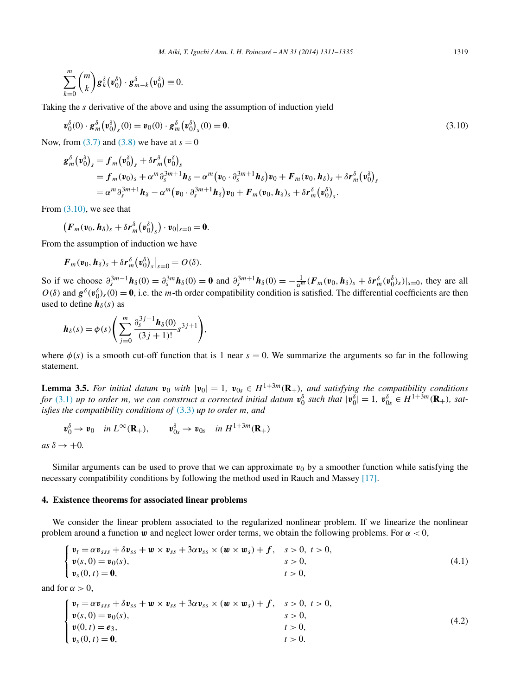<span id="page-8-0"></span>
$$
\sum_{k=0}^m \binom{m}{k} \mathbf{g}_k^{\delta}(\mathbf{v}_0^{\delta}) \cdot \mathbf{g}_{m-k}^{\delta}(\mathbf{v}_0^{\delta}) \equiv 0.
$$

Taking the *s* derivative of the above and using the assumption of induction yield

$$
\boldsymbol{v}_0^{\delta}(0) \cdot \boldsymbol{g}_m^{\delta}(\boldsymbol{v}_0^{\delta})_s(0) = \boldsymbol{v}_0(0) \cdot \boldsymbol{g}_m^{\delta}(\boldsymbol{v}_0^{\delta})_s(0) = \mathbf{0}.\tag{3.10}
$$

Now, from  $(3.7)$  and  $(3.8)$  we have at  $s = 0$ 

$$
g_m^{\delta}(\mathbf{v}_0^{\delta})_s = f_m(\mathbf{v}_0^{\delta})_s + \delta \mathbf{r}_m^{\delta}(\mathbf{v}_0^{\delta})_s
$$
  
=  $f_m(\mathbf{v}_0)_s + \alpha^m \partial_s^{3m+1} \mathbf{h}_{\delta} - \alpha^m (\mathbf{v}_0 \cdot \partial_s^{3m+1} \mathbf{h}_{\delta}) \mathbf{v}_0 + \mathbf{F}_m(\mathbf{v}_0, \mathbf{h}_{\delta})_s + \delta \mathbf{r}_m^{\delta}(\mathbf{v}_0^{\delta})_s$   
=  $\alpha^m \partial_s^{3m+1} \mathbf{h}_{\delta} - \alpha^m (\mathbf{v}_0 \cdot \partial_s^{3m+1} \mathbf{h}_{\delta}) \mathbf{v}_0 + \mathbf{F}_m(\mathbf{v}_0, \mathbf{h}_{\delta})_s + \delta \mathbf{r}_m^{\delta}(\mathbf{v}_0^{\delta})_s.$ 

From  $(3.10)$ , we see that

$$
\left(F_m(\mathbf{v}_0,\mathbf{h}_\delta)_s+\delta r_m^\delta(\mathbf{v}_0^\delta)_s\right)\cdot\mathbf{v}_0|_{s=0}=\mathbf{0}.
$$

From the assumption of induction we have

$$
\boldsymbol{F}_m(\boldsymbol{v}_0,\boldsymbol{h}_\delta)_s+\delta \boldsymbol{r}_m^\delta(\boldsymbol{v}_0^\delta)\big|_{s=0}=O(\delta).
$$

So if we choose  $\partial_s^{3m-1} h_\delta(0) = \partial_s^{3m} h_\delta(0) = 0$  and  $\partial_s^{3m+1} h_\delta(0) = -\frac{1}{\alpha^m} (F_m(v_0, h_\delta)_s + \delta r_m^\delta(v_0^\delta)_s)|_{s=0}$ , they are all  $O(\delta)$  and  $g^{\delta}(\mathbf{v}_{0}^{\delta})_{s}(0) = \mathbf{0}$ , i.e. the *m*-th order compatibility condition is satisfied. The differential coefficients are then used to define  $\boldsymbol{h}_{\delta}(s)$  as

$$
\boldsymbol{h}_{\delta}(s) = \phi(s) \Bigg( \sum_{j=0}^{m} \frac{\partial_{s}^{3j+1} \boldsymbol{h}_{\delta}(0)}{(3j+1)!} s^{3j+1} \Bigg),
$$

where  $\phi(s)$  is a smooth cut-off function that is 1 near  $s = 0$ . We summarize the arguments so far in the following statement.

**Lemma 3.5.** For initial datum  $v_0$  with  $|v_0| = 1$ ,  $v_{0s} \in H^{1+3m}(\mathbf{R}_+)$ , and satisfying the compatibility conditions for [\(3.1\)](#page-3-0) up to order m, we can construct a corrected initial datum  $\mathbf{v}_0^{\delta}$  such that  $|\mathbf{v}_0^{\delta}| = 1$ ,  $\mathbf{v}_{0s}^{\delta} \in H^{1+3m}(\mathbf{R}_{+})$ , sat*isfies the compatibility conditions of* [\(3.3\)](#page-3-0) *up to order m, and*

$$
\mathbf{v}_0^{\delta} \to \mathbf{v}_0 \quad \text{in } L^{\infty}(\mathbf{R}_+), \qquad \mathbf{v}_{0s}^{\delta} \to \mathbf{v}_{0s} \quad \text{in } H^{1+3m}(\mathbf{R}_+)
$$

 $as \delta \rightarrow +0$ .

Similar arguments can be used to prove that we can approximate  $v_0$  by a smoother function while satisfying the necessary compatibility conditions by following the method used in Rauch and Massey [\[17\].](#page-24-0)

#### **4. Existence theorems for associated linear problems**

We consider the linear problem associated to the regularized nonlinear problem. If we linearize the nonlinear problem around a function *w* and neglect lower order terms, we obtain the following problems. For *α <* 0,

$$
\begin{cases}\n\mathbf{v}_t = \alpha \mathbf{v}_{sss} + \delta \mathbf{v}_{ss} + \mathbf{w} \times \mathbf{v}_{ss} + 3\alpha \mathbf{v}_{ss} \times (\mathbf{w} \times \mathbf{w}_s) + f, & s > 0, \ t > 0, \\
\mathbf{v}(s, 0) = \mathbf{v}_0(s), & s > 0, \\
\mathbf{v}_s(0, t) = \mathbf{0}, & t > 0,\n\end{cases}
$$
\n(4.1)

and for  $\alpha > 0$ ,

$$
\begin{cases}\n v_t = \alpha v_{sss} + \delta v_{ss} + w \times v_{ss} + 3\alpha v_{ss} \times (w \times w_s) + f, & s > 0, t > 0, \\
 v(s, 0) = v_0(s), & s > 0, \\
 v(0, t) = e_3, & t > 0, \\
 v_s(0, t) = 0, & t > 0.\n\end{cases}
$$
\n(4.2)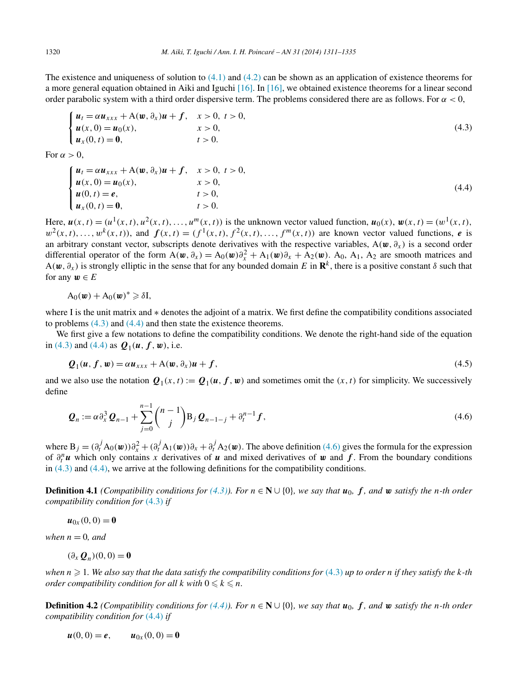<span id="page-9-0"></span>The existence and uniqueness of solution to  $(4.1)$  and  $(4.2)$  can be shown as an application of existence theorems for a more general equation obtained in Aiki and Iguchi [\[16\].](#page-24-0) In [\[16\],](#page-24-0) we obtained existence theorems for a linear second order parabolic system with a third order dispersive term. The problems considered there are as follows. For *α <* 0,

$$
\begin{cases}\n\mathbf{u}_t = \alpha \mathbf{u}_{xxx} + A(\mathbf{w}, \partial_x) \mathbf{u} + f, & x > 0, \ t > 0, \\
\mathbf{u}(x, 0) = \mathbf{u}_0(x), & x > 0, \\
\mathbf{u}_x(0, t) = \mathbf{0}, & t > 0.\n\end{cases} \tag{4.3}
$$

For  $\alpha > 0$ ,

$$
\begin{cases}\n u_t = \alpha u_{xxx} + A(w, \partial_x)u + f, & x > 0, t > 0, \\
 u(x, 0) = u_0(x), & x > 0, \\
 u(0, t) = e, & t > 0, \\
 u_x(0, t) = 0, & t > 0.\n\end{cases}
$$
\n(4.4)

Here,  $u(x, t) = (u^1(x, t), u^2(x, t), \ldots, u^m(x, t))$  is the unknown vector valued function,  $u_0(x), w(x, t) = (w^1(x, t),$  $w^{2}(x, t), \ldots, w^{k}(x, t)$ , and  $f(x, t) = (f^{1}(x, t), f^{2}(x, t), \ldots, f^{m}(x, t))$  are known vector valued functions, *e* is an arbitrary constant vector, subscripts denote derivatives with the respective variables,  $A(w, \partial_x)$  is a second order differential operator of the form  $A(\mathbf{w}, \partial_x) = A_0(\mathbf{w})\partial_x^2 + A_1(\mathbf{w})\partial_x + A_2(\mathbf{w})$ . A<sub>0</sub>, A<sub>1</sub>, A<sub>2</sub> are smooth matrices and  $A(\mathbf{w}, \partial_x)$  is strongly elliptic in the sense that for any bounded domain *E* in  $\mathbf{R}^k$ , there is a positive constant  $\delta$  such that for any  $w \in E$ 

$$
A_0(\boldsymbol{w}) + A_0(\boldsymbol{w})^* \geqslant \delta I,
$$

where I is the unit matrix and ∗ denotes the adjoint of a matrix. We first define the compatibility conditions associated to problems (4.3) and (4.4) and then state the existence theorems.

We first give a few notations to define the compatibility conditions. We denote the right-hand side of the equation in (4.3) and (4.4) as  $Q_1(u, f, w)$ , i.e.

$$
Q_1(u, f, w) = \alpha u_{xxx} + A(w, \partial_x)u + f,
$$
\n(4.5)

and we also use the notation  $Q_1(x, t) := Q_1(u, f, w)$  and sometimes omit the  $(x, t)$  for simplicity. We successively define

$$
\mathbf{Q}_n := \alpha \partial_x^3 \mathbf{Q}_{n-1} + \sum_{j=0}^{n-1} {n-1 \choose j} B_j \mathbf{Q}_{n-1-j} + \partial_t^{n-1} f,
$$
\n(4.6)

where  $B_j = (\partial_t^j A_0(\boldsymbol{w})) \partial_x^2 + (\partial_t^j A_1(\boldsymbol{w})) \partial_x + \partial_t^j A_2(\boldsymbol{w})$ . The above definition (4.6) gives the formula for the expression of  $\partial_t^n u$  which only contains *x* derivatives of *u* and mixed derivatives of *w* and *f*. From the boundary conditions in (4.3) and (4.4), we arrive at the following definitions for the compatibility conditions.

**Definition 4.1** *(Compatibility conditions for*  $(4.3)$ *). For*  $n \in \mathbb{N} \cup \{0\}$ *, we say that*  $u_0$ *,*  $f$ *, and*  $w$  *satisfy the n*-th order *compatibility condition for* (4.3) *if*

$$
\boldsymbol{u}_{0x}(0,0)=\mathbf{0}
$$

*when*  $n = 0$ *, and* 

$$
(\partial_x \mathbf{Q}_n)(0,0) = \mathbf{0}
$$

*when n* - 1*. We also say that the data satisfy the compatibility conditions for* (4.3) *up to order n if they satisfy the k-th order compatibility condition for all*  $k$  *with*  $0 \le k \le n$ *.* 

**Definition 4.2** *(Compatibility conditions for*  $(4.4)$ *). For*  $n \in \mathbb{N} \cup \{0\}$ *, we say that*  $u_0$ *,*  $f$ *, and*  $w$  *satisfy the n*-th order *compatibility condition for* (4.4) *if*

$$
u(0, 0) = e, \qquad u_{0x}(0, 0) = 0
$$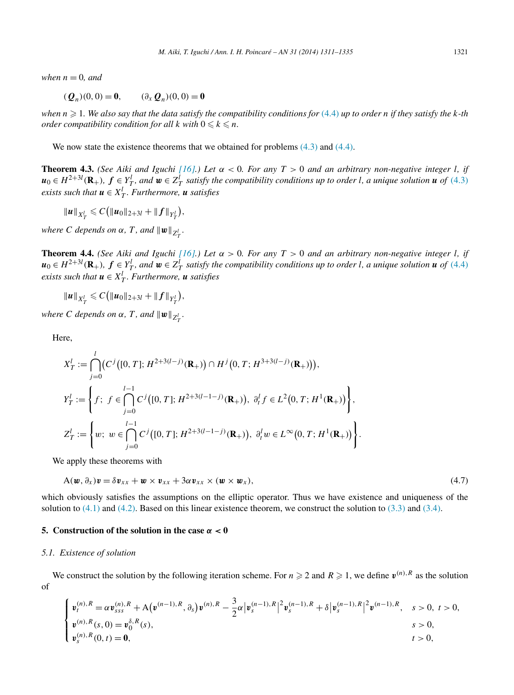<span id="page-10-0"></span>*when*  $n = 0$ *, and* 

$$
(Q_n)(0,0) = 0,
$$
  $(\partial_x Q_n)(0,0) = 0$ 

*when n* - 1*. We also say that the data satisfy the compatibility conditions for* [\(4.4\)](#page-9-0) *up to order n if they satisfy the k-th order compatibility condition for all*  $k$  *with*  $0 \le k \le n$ *.* 

We now state the existence theorems that we obtained for problems  $(4.3)$  and  $(4.4)$ .

**Theorem 4.3.** *(See Aiki and Iguchi* [\[16\].](#page-24-0)) Let  $\alpha < 0$ *. For any*  $T > 0$  *and an arbitrary non-negative integer l, if*  $u_0 \in H^{2+3l}(\mathbf{R}_+)$ ,  $f \in Y_T^l$ , and  $w \in Z_T^l$  satisfy the compatibility conditions up to order l, a unique solution  $u$  of [\(4.3\)](#page-9-0) *exists such that*  $u \in X_T^l$ *. Furthermore,*  $u$  *satisfies* 

$$
\|u\|_{X_T^l} \leqslant C\big(\|u_0\|_{2+3l} + \|f\|_{Y_T^l}\big),
$$

*where C depends on*  $\alpha$ *, T, and*  $\|\boldsymbol{w}\|_{Z_T^l}$ *.* 

**Theorem 4.4.** *(See Aiki and Iguchi* [\[16\].](#page-24-0)) Let  $\alpha > 0$ *. For any*  $T > 0$  *and an arbitrary non-negative integer l, if*  $u_0 \in H^{2+3l}(\mathbf{R}_+)$ ,  $f \in Y_T^l$ , and  $w \in Z_T^l$  satisfy the compatibility conditions up to order l, a unique solution  $u$  of [\(4.4\)](#page-9-0) *exists such that*  $u \in X_T^l$ *. Furthermore,*  $u$  *satisfies* 

 $||u||_{X_T^l} \leqslant C(||u_0||_{2+3l} + ||f||_{Y_T^l}),$ 

*where C depends on*  $\alpha$ *, T, and*  $\|\boldsymbol{w}\|_{Z^l_T}$ *.* 

Here,

$$
X_T^l := \bigcap_{j=0}^l (C^j([0, T]; H^{2+3(l-j)}(\mathbf{R}_+)) \cap H^j(0, T; H^{3+3(l-j)}(\mathbf{R}_+))),
$$
  
\n
$$
Y_T^l := \left\{ f; \ f \in \bigcap_{j=0}^{l-1} C^j([0, T]; H^{2+3(l-1-j)}(\mathbf{R}_+)), \ \partial_t^l f \in L^2(0, T; H^1(\mathbf{R}_+)) \right\},
$$
  
\n
$$
Z_T^l := \left\{ w; \ w \in \bigcap_{j=0}^{l-1} C^j([0, T]; H^{2+3(l-1-j)}(\mathbf{R}_+)), \ \partial_t^l w \in L^\infty(0, T; H^1(\mathbf{R}_+)) \right\}.
$$

We apply these theorems with

$$
A(\boldsymbol{w},\partial_x)\boldsymbol{v}=\delta\boldsymbol{v}_{xx}+\boldsymbol{w}\times\boldsymbol{v}_{xx}+3\alpha\boldsymbol{v}_{xx}\times(\boldsymbol{w}\times\boldsymbol{w}_x),
$$
\n(4.7)

which obviously satisfies the assumptions on the elliptic operator. Thus we have existence and uniqueness of the solution to  $(4.1)$  and  $(4.2)$ . Based on this linear existence theorem, we construct the solution to  $(3.3)$  and  $(3.4)$ .

## **5.** Construction of the solution in the case  $\alpha < 0$

#### *5.1. Existence of solution*

We construct the solution by the following iteration scheme. For  $n \ge 2$  and  $R \ge 1$ , we define  $v^{(n),R}$  as the solution of

$$
\begin{cases}\n\boldsymbol{v}_{t}^{(n),R} = \alpha \boldsymbol{v}_{sss}^{(n),R} + A(\boldsymbol{v}^{(n-1),R}, \partial_{s}) \boldsymbol{v}^{(n),R} - \frac{3}{2} \alpha |\boldsymbol{v}_{s}^{(n-1),R}|^{2} \boldsymbol{v}_{s}^{(n-1),R} + \delta |\boldsymbol{v}_{s}^{(n-1),R}|^{2} \boldsymbol{v}^{(n-1),R}, & s > 0, \ t > 0, \\
\boldsymbol{v}_{s}^{(n),R}(s,0) = \boldsymbol{v}_{0}^{\delta,R}(s), & s > 0, \ t > 0, \\
\boldsymbol{v}_{s}^{(n),R}(0,t) = \mathbf{0}, & t > 0,\end{cases}
$$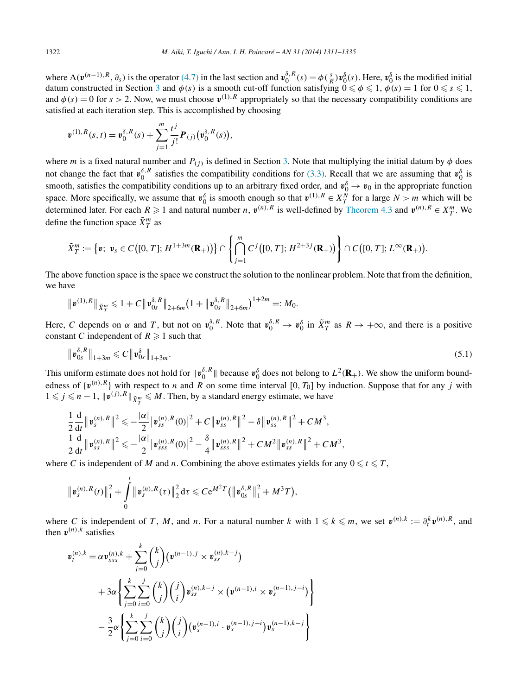where  $A(\mathbf{v}^{(n-1),R}, \partial_s)$  is the operator [\(4.7\)](#page-10-0) in the last section and  $\mathbf{v}_0^{\delta,R}(s) = \phi(\frac{s}{R}) \mathbf{v}_0^{\delta}(s)$ . Here,  $\mathbf{v}_0^{\delta}$  is the modified initial datum constructed in Section [3](#page-3-0) and  $\phi(s)$  is a smooth cut-off function satisfying  $0 \le \phi \le 1$ ,  $\phi(s) = 1$  for  $0 \le s \le 1$ , and  $\phi(s) = 0$  for  $s > 2$ . Now, we must choose  $v^{(1),R}$  appropriately so that the necessary compatibility conditions are satisfied at each iteration step. This is accomplished by choosing

$$
\boldsymbol{v}^{(1),R}(s,t)=\boldsymbol{v}_0^{\delta,R}(s)+\sum_{j=1}^m\frac{t^j}{j!}\boldsymbol{P}_{(j)}(\boldsymbol{v}_0^{\delta,R}(s)),
$$

where *m* is a fixed natural number and  $P(j)$  is defined in Section [3.](#page-3-0) Note that multiplying the initial datum by  $\phi$  does not change the fact that  $v_0^{\delta}$ , *R* satisfies the compatibility conditions for [\(3.3\).](#page-3-0) Recall that we are assuming that  $v_0^{\delta}$  is smooth, satisfies the compatibility conditions up to an arbitrary fixed order, and  $v_0^{\delta} \to v_0$  in the appropriate function space. More specifically, we assume that  $v_0^{\delta}$  is smooth enough so that  $v^{(1),R} \in X_T^N$  for a large  $N > m$  which will be determined later. For each  $R \ge 1$  and natural number *n*,  $v^{(n),R}$  is well-defined by [Theorem 4.3](#page-10-0) and  $v^{(n),R} \in X_T^m$ . We define the function space  $\tilde{X}_T^m$  as

$$
\tilde{X}_T^m := \left\{ \boldsymbol{v}; \ \boldsymbol{v}_s \in C\big( [0,T]; H^{1+3m}(\mathbf{R}_+) \big) \right\} \cap \left\{ \bigcap_{j=1}^m C^j \big( [0,T]; H^{2+3j}(\mathbf{R}_+) \big) \right\} \cap C\big( [0,T]; L^{\infty}(\mathbf{R}_+) \big).
$$

The above function space is the space we construct the solution to the nonlinear problem. Note that from the definition, we have

$$
\|\mathbf{v}^{(1),R}\|_{\tilde{X}_T^m}\leq 1+C\|\mathbf{v}_{0s}^{\delta,R}\|_{2+\delta m}(1+\|\mathbf{v}_{0s}^{\delta,R}\|_{2+\delta m})^{1+2m}=:M_0.
$$

Here, *C* depends on  $\alpha$  and *T*, but not on  $v_0^{\delta,R}$ . Note that  $v_0^{\delta,R} \to v_0^{\delta}$  in  $\tilde{X}_T^m$  as  $R \to +\infty$ , and there is a positive constant *C* independent of  $R \ge 1$  such that

$$
\|\mathbf{v}_{0s}^{\delta,R}\|_{1+3m} \leq C \|\mathbf{v}_{0s}^{\delta}\|_{1+3m}.
$$
\n(5.1)

This uniform estimate does not hold for  $\|\mathbf{v}_0^{\delta,R}\|$  because  $\mathbf{v}_0^{\delta}$  does not belong to  $L^2(\mathbf{R}_+)$ . We show the uniform boundedness of  $\{v^{(n),R}\}\)$  with respect to *n* and *R* on some time interval [0, *T*<sub>0</sub>] by induction. Suppose that for any *j* with  $1 \leq j \leq n-1$ ,  $\|\mathbf{v}^{(j),R}\|_{\tilde{X}_T^m} \leq M$ . Then, by a standard energy estimate, we have

$$
\frac{1}{2}\frac{\mathrm{d}}{\mathrm{d}t}\|\mathbf{v}_{s}^{(n),R}\|^{2} \leqslant -\frac{|\alpha|}{2}\big|\mathbf{v}_{ss}^{(n),R}(0)\big|^{2}+C\big\|\mathbf{v}_{ss}^{(n),R}\big\|^{2}-\delta\big\|\mathbf{v}_{ss}^{(n),R}\big\|^{2}+CM^{3},
$$
\n
$$
\frac{1}{2}\frac{\mathrm{d}}{\mathrm{d}t}\|\mathbf{v}_{ss}^{(n),R}\|^{2} \leqslant -\frac{|\alpha|}{2}\big|\mathbf{v}_{sss}^{(n),R}(0)\big|^{2}-\frac{\delta}{4}\big\|\mathbf{v}_{sss}^{(n),R}\big\|^{2}+CM^{2}\big\|\mathbf{v}_{ss}^{(n),R}\big\|^{2}+CM^{3},
$$

where *C* is independent of *M* and *n*. Combining the above estimates yields for any  $0 \le t \le T$ ,

$$
\|\mathbf{v}_{s}^{(n),R}(t)\|_{1}^{2}+\int_{0}^{t}\|\mathbf{v}_{s}^{(n),R}(\tau)\|_{2}^{2}\,\mathrm{d}\tau\leqslant Ce^{M^{2}T}\big(\|\mathbf{v}_{0s}^{\delta,R}\|_{1}^{2}+M^{3}T\big),
$$

where *C* is independent of *T*, *M*, and *n*. For a natural number *k* with  $1 \le k \le m$ , we set  $v^{(n),k} := \partial_t^k v^{(n),R}$ , and then  $v^{(n),k}$  satisfies

$$
\mathbf{v}_{t}^{(n),k} = \alpha \mathbf{v}_{sss}^{(n),k} + \sum_{j=0}^{k} {k \choose j} (\mathbf{v}^{(n-1),j} \times \mathbf{v}_{ss}^{(n),k-j})
$$
  
+ 
$$
3\alpha \left\{ \sum_{j=0}^{k} \sum_{i=0}^{j} {k \choose j} {j \choose i} \mathbf{v}_{ss}^{(n),k-j} \times (\mathbf{v}^{(n-1),i} \times \mathbf{v}_{s}^{(n-1),j-i}) \right\}
$$
  
- 
$$
\frac{3}{2} \alpha \left\{ \sum_{j=0}^{k} \sum_{i=0}^{j} {k \choose j} {j \choose i} (\mathbf{v}_{s}^{(n-1),i} \cdot \mathbf{v}_{s}^{(n-1),j-i}) \mathbf{v}_{s}^{(n-1),k-j} \right\}
$$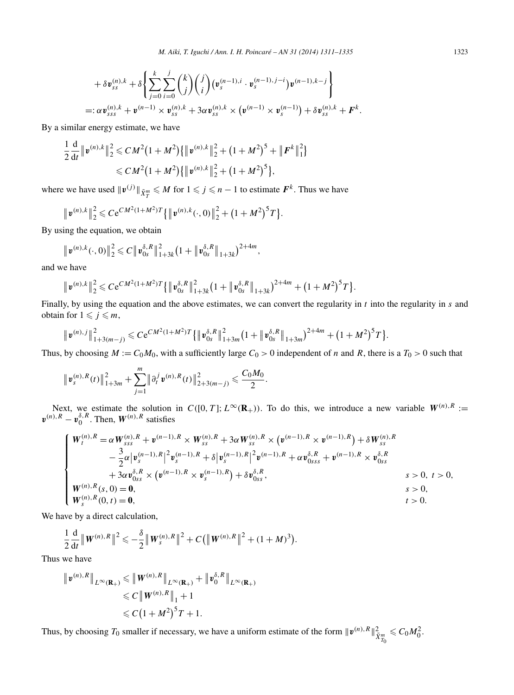$$
+ \delta \mathbf{v}_{ss}^{(n),k} + \delta \left\{ \sum_{j=0}^{k} \sum_{i=0}^{j} {k \choose j} {j \choose i} (\mathbf{v}_{s}^{(n-1),i} \cdot \mathbf{v}_{s}^{(n-1),j-i}) \mathbf{v}^{(n-1),k-j} \right\}
$$
  
=:  $\alpha \mathbf{v}_{sss}^{(n),k} + \mathbf{v}^{(n-1)} \times \mathbf{v}_{ss}^{(n),k} + 3\alpha \mathbf{v}_{ss}^{(n),k} \times (\mathbf{v}^{(n-1)} \times \mathbf{v}_{s}^{(n-1)}) + \delta \mathbf{v}_{ss}^{(n),k} + \mathbf{F}^{k}.$ 

By a similar energy estimate, we have

$$
\frac{1}{2}\frac{\mathrm{d}}{\mathrm{d}t} \|v^{(n),k}\|_2^2 \leq C M^2 \big(1+M^2\big) \{ \|v^{(n),k}\|_2^2 + \big(1+M^2\big)^5 + \|F^k\|_1^2 \} \leq C M^2 \big(1+M^2\big) \{ \|v^{(n),k}\|_2^2 + \big(1+M^2\big)^5 \},\
$$

where we have used  $\|\mathbf{v}^{(j)}\|_{\tilde{X}_T^m} \le M$  for  $1 \le j \le n - 1$  to estimate  $F^k$ . Thus we have

$$
\|\mathbf{v}^{(n),k}\|_2^2 \leqslant Ce^{CM^2(1+M^2)T}\{\|\mathbf{v}^{(n),k}(\cdot,0)\|_2^2 + (1+M^2)^5T\}.
$$

By using the equation, we obtain

$$
\|\mathbf{v}^{(n),k}(\cdot,0)\|_2^2 \leq C \|\mathbf{v}_{0s}^{\delta,R}\|_{1+3k}^2 \big(1+\|\mathbf{v}_{0s}^{\delta,R}\|_{1+3k}\big)^{2+4m},
$$

and we have

$$
\|\mathbf{v}^{(n),k}\|_2^2 \leqslant Ce^{CM^2(1+M^2)T}\{\|\mathbf{v}_{0s}^{\delta,R}\|_{1+3k}^2(1+\|\mathbf{v}_{0s}^{\delta,R}\|_{1+3k})^{2+4m}+(1+M^2)^5T\}.
$$

Finally, by using the equation and the above estimates, we can convert the regularity in *t* into the regularity in *s* and obtain for  $1 \leq j \leq m$ ,

$$
\|\mathbf{v}^{(n),j}\|_{1+3(m-j)}^2 \leqslant C\mathrm{e}^{CM^2(1+M^2)T}\{\|\mathbf{v}_{0s}^{\delta,R}\|_{1+3m}^2(1+\|\mathbf{v}_{0s}^{\delta,R}\|_{1+3m})^{2+4m}+(1+M^2)^5T\}.
$$

Thus, by choosing  $M := C_0M_0$ , with a sufficiently large  $C_0 > 0$  independent of *n* and *R*, there is a  $T_0 > 0$  such that

$$
\|\mathbf{v}_s^{(n),R}(t)\|_{1+3m}^2+\sum_{j=1}^m\|\partial_t^j\mathbf{v}^{(n),R}(t)\|_{2+3(m-j)}^2\leq \frac{C_0M_0}{2}.
$$

Next, we estimate the solution in  $C([0, T]; L^{\infty}(\mathbb{R}_+))$ . To do this, we introduce a new variable  $W^{(n), R} :=$  $v^{(n),R} - v_0^{\delta,R}$ . Then,  $W^{(n),R}$  satisfies

$$
\begin{cases}\nW_t^{(n),R} = \alpha W_{sss}^{(n),R} + \mathbf{v}^{(n-1),R} \times W_{ss}^{(n),R} + 3\alpha W_{ss}^{(n),R} \times (\mathbf{v}^{(n-1),R} \times \mathbf{v}^{(n-1),R}) + \delta W_{ss}^{(n),R} \\
- \frac{3}{2} \alpha |\mathbf{v}_s^{(n-1),R}|^2 \mathbf{v}_s^{(n-1),R} + \delta |\mathbf{v}_s^{(n-1),R}|^2 \mathbf{v}^{(n-1),R} + \alpha \mathbf{v}_{0sss}^{\delta,R} + \mathbf{v}^{(n-1),R} \times \mathbf{v}_{0ss}^{\delta,R} \\
+ 3\alpha \mathbf{v}_{0ss}^{\delta,R} \times (\mathbf{v}^{(n-1),R} \times \mathbf{v}_s^{(n-1),R}) + \delta \mathbf{v}_{0ss}^{\delta,R}, & s > 0, t > 0, \\
W_t^{(n),R}(s,0) = \mathbf{0}, & s > 0, \\
W_s^{(n),R}(0,t) = \mathbf{0}, & t > 0.\n\end{cases}
$$

We have by a direct calculation,

$$
\frac{1}{2}\frac{\mathrm{d}}{\mathrm{d}t}\|\mathbf{W}^{(n),R}\|^2 \leqslant -\frac{\delta}{2}\|\mathbf{W}_s^{(n),R}\|^2 + C(\|\mathbf{W}^{(n),R}\|^2 + (1+M)^3).
$$

Thus we have

$$
\|v^{(n),R}\|_{L^{\infty}(\mathbf{R}_{+})} \leq \|W^{(n),R}\|_{L^{\infty}(\mathbf{R}_{+})} + \|\nu_0^{\delta,R}\|_{L^{\infty}(\mathbf{R}_{+})}
$$
  
\n
$$
\leq C \|W^{(n),R}\|_{1} + 1
$$
  
\n
$$
\leq C (1 + M^{2})^{5} T + 1.
$$

Thus, by choosing  $T_0$  smaller if necessary, we have a uniform estimate of the form  $\|\boldsymbol{v}^{(n),R}\|_{\tilde{X}^m_{T_0}}^2 \leqslant C_0M_0^2$ .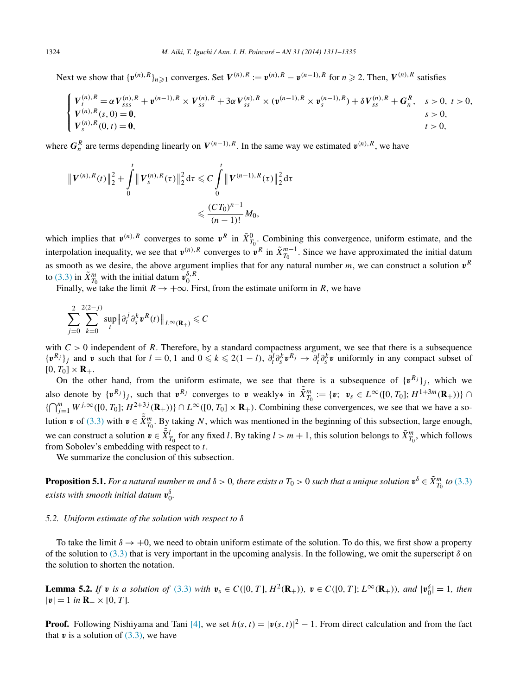<span id="page-13-0"></span>Next we show that  $\{v^{(n)}, R\}_{n\geq 1}$  converges. Set  $V^{(n),R} := v^{(n),R} - v^{(n-1),R}$  for  $n \geq 2$ . Then,  $V^{(n),R}$  satisfies

$$
\begin{cases}\nV_t^{(n),R} = \alpha V_{sss}^{(n),R} + \mathbf{v}^{(n-1),R} \times V_{ss}^{(n),R} + 3\alpha V_{ss}^{(n),R} \times (\mathbf{v}^{(n-1),R} \times \mathbf{v}_s^{(n-1),R}) + \delta V_{ss}^{(n),R} + G_n^R, & s > 0, t > 0, \\
V_t^{(n),R}(s,0) = \mathbf{0}, & s > 0, \\
V_s^{(n),R}(0,t) = \mathbf{0}, & t > 0, \\
& t > 0,\n\end{cases}
$$

where  $G_n^R$  are terms depending linearly on  $V^{(n-1),R}$ . In the same way we estimated  $v^{(n),R}$ , we have

$$
\|V^{(n),R}(t)\|_{2}^{2} + \int_{0}^{t} \|V_{s}^{(n),R}(\tau)\|_{2}^{2} d\tau \leq C \int_{0}^{t} \|V^{(n-1),R}(\tau)\|_{2}^{2} d\tau
$$
  

$$
\leq \frac{(CT_{0})^{n-1}}{(n-1)!} M_{0},
$$

which implies that  $v^{(n),R}$  converges to some  $v^R$  in  $\tilde{X}^0_{T_0}$ . Combining this convergence, uniform estimate, and the interpolation inequality, we see that  $v^{(n),R}$  converges to  $v^R$  in  $\tilde{X}_{T_0}^{m-1}$ . Since we have approximated the initial datum as smooth as we desire, the above argument implies that for any natural number  $m$ , we can construct a solution  $v<sup>R</sup>$ to [\(3.3\)](#page-3-0) in  $\tilde{X}_{T_0}^m$  with the initial datum  $\mathbf{v}_0^{\delta,R}$ .

Finally, we take the limit  $R \to +\infty$ . First, from the estimate uniform in R, we have

$$
\sum_{j=0}^{2} \sum_{k=0}^{2(2-j)} \sup_{t} \left\| \partial_t^j \partial_s^k \mathbf{v}^R(t) \right\|_{L^{\infty}(\mathbf{R}_+)} \leqslant C
$$

with  $C > 0$  independent of R. Therefore, by a standard compactness argument, we see that there is a subsequence  $\{v^{R_j}\}_j$  and v such that for  $l = 0, 1$  and  $0 \le k \le 2(1-l)$ ,  $\partial_t^l \partial_s^k v^{R_j} \to \partial_t^l \partial_s^k v$  uniformly in any compact subset of  $[0, T_0] \times \mathbf{R}_+$ .

On the other hand, from the uniform estimate, we see that there is a subsequence of  $\{v^{R_j}\}_j$ , which we also denote by  $\{v^{R_j}\}_j$ , such that  $v^{R_j}$  converges to v weakly\* in  $\tilde{X}_{T_0}^m := \{v; v_s \in L^\infty([0, T_0]; H^{1+3m}(\mathbf{R}_+))\}$  ${\left\{\bigcap_{j=1}^{m} W^{j,\infty}([0, T_0]; H^{2+3j}(\mathbf{R}_+))\right\}} \cap L^{\infty}([0, T_0] \times \mathbf{R}_+).$  Combining these convergences, we see that we have a solution *v* of [\(3.3\)](#page-3-0) with  $v \in \tilde{X}_{T_0}^m$ . By taking *N*, which was mentioned in the beginning of this subsection, large enough, we can construct a solution  $v \in \tilde{X}_{T_0}^l$  for any fixed *l*. By taking  $l > m + 1$ , this solution belongs to  $\tilde{X}_{T_0}^m$ , which follows from Sobolev's embedding with respect to *t*.

We summarize the conclusion of this subsection.

**Proposition 5.1.** For a natural number m and  $\delta > 0$ , there exists a  $T_0 > 0$  such that a unique solution  $\mathbf{v}^{\delta} \in \tilde{X}_{T_0}^m$  to [\(3.3\)](#page-3-0)  $e$ *xists with smooth initial datum*  $v_0^{\delta}$ .

#### *5.2. Uniform estimate of the solution with respect to δ*

To take the limit  $\delta \to +0$ , we need to obtain uniform estimate of the solution. To do this, we first show a property of the solution to [\(3.3\)](#page-3-0) that is very important in the upcoming analysis. In the following, we omit the superscript  $\delta$  on the solution to shorten the notation.

**Lemma 5.2.** If **v** is a solution of [\(3.3\)](#page-3-0) with  $v_s \in C([0, T], H^2(\mathbf{R}_+))$ ,  $v \in C([0, T]; L^{\infty}(\mathbf{R}_+))$ , and  $|v_0^{\delta}| = 1$ , then  $|\mathbf{v}| = 1$  *in*  $\mathbf{R}_{+} \times [0, T]$ *.* 

**Proof.** Following Nishiyama and Tani [\[4\],](#page-23-0) we set  $h(s, t) = |v(s, t)|^2 - 1$ . From direct calculation and from the fact that  $v$  is a solution of  $(3.3)$ , we have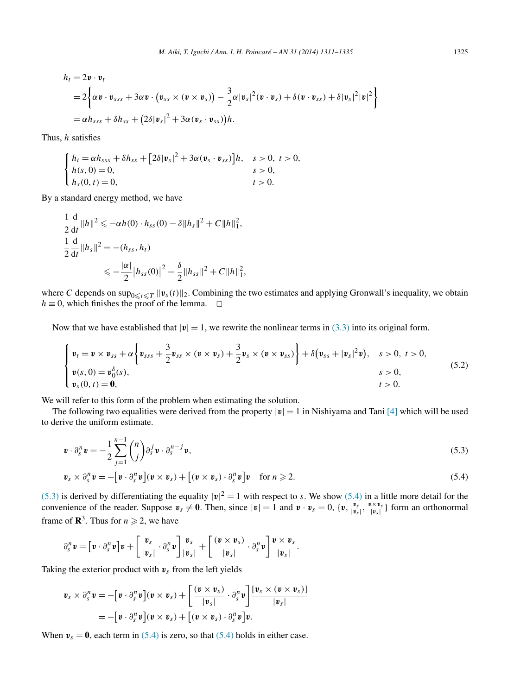<span id="page-14-0"></span>
$$
h_t = 2\mathbf{v} \cdot \mathbf{v}_t
$$
  
=  $2\left\{\alpha \mathbf{v} \cdot \mathbf{v}_{sss} + 3\alpha \mathbf{v} \cdot (\mathbf{v}_{ss} \times (\mathbf{v} \times \mathbf{v}_s)) - \frac{3}{2}\alpha |\mathbf{v}_s|^2 (\mathbf{v} \cdot \mathbf{v}_s) + \delta (\mathbf{v} \cdot \mathbf{v}_{ss}) + \delta |\mathbf{v}_s|^2 |\mathbf{v}|^2 \right\}$   
=  $\alpha h_{sss} + \delta h_{ss} + (2\delta |\mathbf{v}_s|^2 + 3\alpha (\mathbf{v}_s \cdot \mathbf{v}_{ss}))h.$ 

Thus, *h* satisfies

$$
\begin{cases}\nh_t = \alpha h_{sss} + \delta h_{ss} + [2\delta |\mathbf{v}_s|^2 + 3\alpha (\mathbf{v}_s \cdot \mathbf{v}_{ss})]h, & s > 0, \ t > 0, \\
h(s, 0) = 0, & s > 0, \\
h_s(0, t) = 0, & t > 0.\n\end{cases}
$$

By a standard energy method, we have

$$
\frac{1}{2} \frac{d}{dt} ||h||^2 \leq -\alpha h(0) \cdot h_{ss}(0) - \delta ||h_s||^2 + C ||h||_1^2,
$$
  
\n
$$
\frac{1}{2} \frac{d}{dt} ||h_s||^2 = -(h_{ss}, h_t)
$$
  
\n
$$
\leq -\frac{|\alpha|}{2} |h_{ss}(0)|^2 - \frac{\delta}{2} ||h_{ss}||^2 + C ||h||_1^2,
$$

where *C* depends on  $\sup_{0 \le t \le T} ||v_s(t)||_2$ . Combining the two estimates and applying Gronwall's inequality, we obtain  $h \equiv 0$ , which finishes the proof of the lemma.  $\Box$ 

Now that we have established that  $|v| = 1$ , we rewrite the nonlinear terms in [\(3.3\)](#page-3-0) into its original form.

$$
\begin{cases}\n\mathbf{v}_t = \mathbf{v} \times \mathbf{v}_{ss} + \alpha \left\{ \mathbf{v}_{sss} + \frac{3}{2} \mathbf{v}_{ss} \times (\mathbf{v} \times \mathbf{v}_s) + \frac{3}{2} \mathbf{v}_s \times (\mathbf{v} \times \mathbf{v}_{ss}) \right\} + \delta (\mathbf{v}_{ss} + |\mathbf{v}_s|^2 \mathbf{v}), \quad s > 0, \ t > 0, \\
\mathbf{v}(s, 0) = \mathbf{v}_0^{\delta}(s), & s > 0, \\
\mathbf{v}_s(0, t) = \mathbf{0}, & t > 0.\n\end{cases}
$$
\n(5.2)

We will refer to this form of the problem when estimating the solution.

The following two equalities were derived from the property  $|v|=1$  in Nishiyama and Tani [\[4\]](#page-23-0) which will be used to derive the uniform estimate.

$$
\mathbf{v} \cdot \partial_s^n \mathbf{v} = -\frac{1}{2} \sum_{j=1}^{n-1} {n \choose j} \partial_s^j \mathbf{v} \cdot \partial_s^{n-j} \mathbf{v},
$$
\n
$$
\mathbf{v}_s \times \partial_s^n \mathbf{v} = -[\mathbf{v} \cdot \partial_s^n \mathbf{v}](\mathbf{v} \times \mathbf{v}_s) + [(\mathbf{v} \times \mathbf{v}_s) \cdot \partial_s^n \mathbf{v}]\mathbf{v} \quad \text{for } n \ge 2.
$$
\n(5.4)

(5.3) is derived by differentiating the equality  $|v|^2 = 1$  with respect to *s*. We show (5.4) in a little more detail for the convenience of the reader. Suppose  $v_s \neq 0$ . Then, since  $|v| = 1$  and  $v \cdot v_s = 0$ ,  $\{v, \frac{v_s}{|v_s|}, \frac{v \times v_s}{|v_s|}\}$  form an orthonormal frame of  $\mathbb{R}^3$ . Thus for  $n \ge 2$ , we have

$$
\partial_s^n \mathbf{v} = \left[ \mathbf{v} \cdot \partial_s^n \mathbf{v} \right] \mathbf{v} + \left[ \frac{\mathbf{v}_s}{|\mathbf{v}_s|} \cdot \partial_s^n \mathbf{v} \right] \frac{\mathbf{v}_s}{|\mathbf{v}_s|} + \left[ \frac{(\mathbf{v} \times \mathbf{v}_s)}{|\mathbf{v}_s|} \cdot \partial_s^n \mathbf{v} \right] \frac{\mathbf{v} \times \mathbf{v}_s}{|\mathbf{v}_s|}.
$$

Taking the exterior product with  $v_s$  from the left yields

$$
\boldsymbol{v}_s \times \partial_s^n \boldsymbol{v} = -[\boldsymbol{v} \cdot \partial_s^n \boldsymbol{v}](\boldsymbol{v} \times \boldsymbol{v}_s) + \left[\frac{(\boldsymbol{v} \times \boldsymbol{v}_s)}{|\boldsymbol{v}_s|} \cdot \partial_s^n \boldsymbol{v}\right] \frac{[\boldsymbol{v}_s \times (\boldsymbol{v} \times \boldsymbol{v}_s)]}{|\boldsymbol{v}_s|}
$$
  
= -[\boldsymbol{v} \cdot \partial\_s^n \boldsymbol{v}](\boldsymbol{v} \times \boldsymbol{v}\_s) + [(\boldsymbol{v} \times \boldsymbol{v}\_s) \cdot \partial\_s^n \boldsymbol{v}] \boldsymbol{v}.

When  $v_s = 0$ , each term in (5.4) is zero, so that (5.4) holds in either case.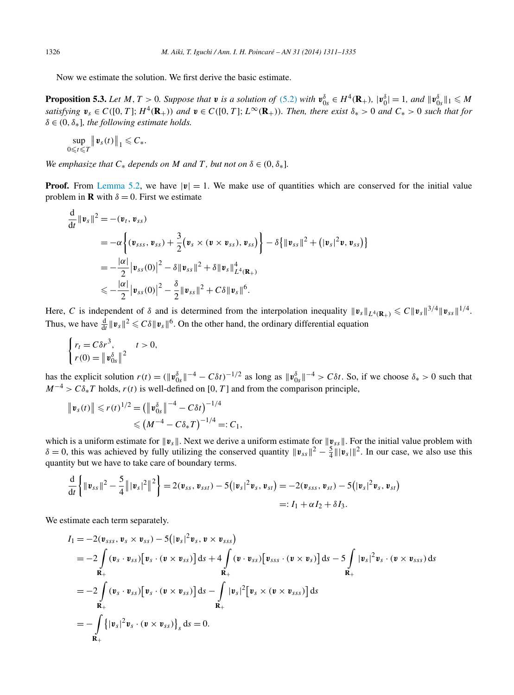<span id="page-15-0"></span>Now we estimate the solution. We first derive the basic estimate.

**Proposition 5.3.** Let M, T > 0. Suppose that **v** is a solution of [\(5.2\)](#page-14-0) with  $\mathbf{v}_{0s}^{\delta} \in H^4(\mathbf{R}_+)$ ,  $|\mathbf{v}_0^{\delta}| = 1$ , and  $|\mathbf{v}_{0s}^{\delta}|_1 \leq M$ satisfying  $v_s \in C([0, T]; H^4(\mathbf{R}_+))$  and  $v \in C([0, T]; L^{\infty}(\mathbf{R}_+))$ . Then, there exist  $\delta_* > 0$  and  $C_* > 0$  such that for  $\delta \in (0, \delta_*]$ *, the following estimate holds.* 

$$
\sup_{0\leq t\leq T}\big\|\mathbf{v}_s(t)\big\|_1\leqslant C_*
$$

*We emphasize that*  $C_*$  *depends on*  $M$  *and*  $T$ *, but not on*  $\delta \in (0, \delta_*]$ *.* 

**Proof.** From [Lemma](#page-13-0) 5.2, we have  $|v| = 1$ . We make use of quantities which are conserved for the initial value problem in **R** with  $\delta = 0$ . First we estimate

$$
\frac{d}{dt} ||\mathbf{v}_{s}||^{2} = -(\mathbf{v}_{t}, \mathbf{v}_{ss})
$$
\n
$$
= -\alpha \left\{ (\mathbf{v}_{sss}, \mathbf{v}_{ss}) + \frac{3}{2} (\mathbf{v}_{s} \times (\mathbf{v} \times \mathbf{v}_{ss}), \mathbf{v}_{ss}) \right\} - \delta \{ ||\mathbf{v}_{ss}||^{2} + (|\mathbf{v}_{s}|^{2} \mathbf{v}, \mathbf{v}_{ss}) \}
$$
\n
$$
= -\frac{|\alpha|}{2} |\mathbf{v}_{ss}(0)|^{2} - \delta ||\mathbf{v}_{ss}||^{2} + \delta ||\mathbf{v}_{s}||_{L^{4}(\mathbf{R}_{+})}^{4}
$$
\n
$$
\leq -\frac{|\alpha|}{2} |\mathbf{v}_{ss}(0)|^{2} - \frac{\delta}{2} ||\mathbf{v}_{ss}||^{2} + C\delta ||\mathbf{v}_{s}||^{6}.
$$

Here, *C* is independent of *δ* and is determined from the interpolation inequality  $\|\mathbf{v}_s\|_{L^4(\mathbf{R}_+)} \leq C \|\mathbf{v}_s\|^{3/4} \|\mathbf{v}_{ss}\|^{1/4}$ . Thus, we have  $\frac{d}{dt} ||v_s||^2 \leq C\delta ||v_s||^6$ . On the other hand, the ordinary differential equation

$$
\begin{cases} r_t = C \delta r^3, & t > 0, \\ r(0) = ||\mathbf{v}_{0s}^{\delta}||^2 \end{cases}
$$

has the explicit solution  $r(t) = (\|\mathbf{v}_{0s}^{\delta}\|^{-4} - C\delta t)^{-1/2}$  as long as  $\|\mathbf{v}_{0s}^{\delta}\|^{-4} > C\delta t$ . So, if we choose  $\delta_* > 0$  such that  $M^{-4} > C\delta_* T$  holds,  $r(t)$  is well-defined on [0, T] and from the comparison principle,

$$
\|\mathbf{v}_s(t)\| \le r(t)^{1/2} = (\|\mathbf{v}_{0s}^{\delta}\|^{-4} - C\delta t)^{-1/4}
$$
  

$$
\le (M^{-4} - C\delta_* T)^{-1/4} =: C_1,
$$

which is a uniform estimate for  $\|\mathbf{v}_s\|$ . Next we derive a uniform estimate for  $\|\mathbf{v}_{ss}\|$ . For the initial value problem with  $\delta = 0$ , this was achieved by fully utilizing the conserved quantity  $\|\mathbf{v}_{ss}\|^2 - \frac{5}{4}\|\mathbf{v}_s\|^2$ . In our case, we also use this quantity but we have to take care of boundary terms.

$$
\frac{\mathrm{d}}{\mathrm{d}t}\left\{\|\mathbf{v}_{ss}\|^2-\frac{5}{4}\||\mathbf{v}_s|^2\|^2\right\}=2(\mathbf{v}_{ss},\mathbf{v}_{sst})-5(|\mathbf{v}_s|^2\mathbf{v}_s,\mathbf{v}_{st})=-2(\mathbf{v}_{sss},\mathbf{v}_{st})-5(|\mathbf{v}_s|^2\mathbf{v}_s,\mathbf{v}_{st})=:I_1+\alpha I_2+\delta I_3.
$$

We estimate each term separately.

$$
I_1 = -2(\mathbf{v}_{sss}, \mathbf{v}_s \times \mathbf{v}_{ss}) - 5(|\mathbf{v}_s|^2 \mathbf{v}_s, \mathbf{v} \times \mathbf{v}_{sss})
$$
  
\n
$$
= -2 \int (\mathbf{v}_s \cdot \mathbf{v}_{ss}) [\mathbf{v}_s \cdot (\mathbf{v} \times \mathbf{v}_{ss})] ds + 4 \int (\mathbf{v} \cdot \mathbf{v}_{ss}) [\mathbf{v}_{sss} \cdot (\mathbf{v} \times \mathbf{v}_s)] ds - 5 \int |\mathbf{v}_s|^2 \mathbf{v}_s \cdot (\mathbf{v} \times \mathbf{v}_{sss}) ds
$$
  
\n
$$
= -2 \int (\mathbf{v}_s \cdot \mathbf{v}_{ss}) [\mathbf{v}_s \cdot (\mathbf{v} \times \mathbf{v}_{ss})] ds - \int |\mathbf{v}_s|^2 [\mathbf{v}_s \times (\mathbf{v} \times \mathbf{v}_{sss})] ds
$$
  
\n
$$
= -2 \int |\mathbf{v}_s|^2 \mathbf{v}_s \cdot (\mathbf{v} \times \mathbf{v}_{ss})|_s ds = 0.
$$
  
\n
$$
= -2 \int |\mathbf{v}_s|^2 \mathbf{v}_s \cdot (\mathbf{v} \times \mathbf{v}_{ss})|_s ds = 0.
$$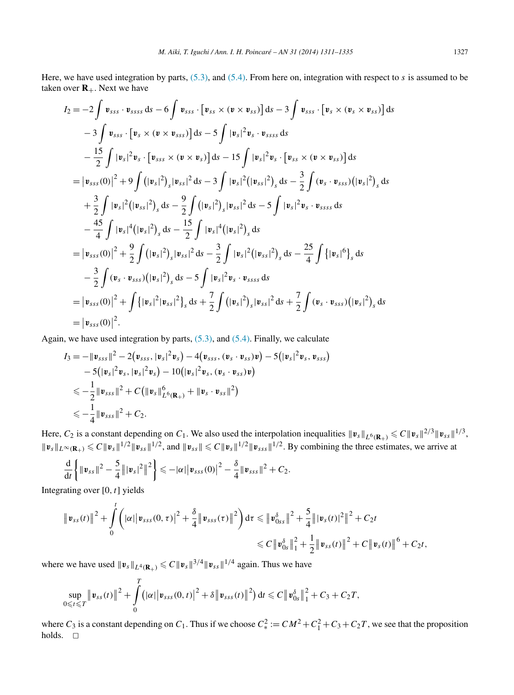Here, we have used integration by parts, [\(5.3\),](#page-14-0) and [\(5.4\).](#page-14-0) From here on, integration with respect to *s* is assumed to be taken over  $\mathbf{R}_{+}$ . Next we have

$$
I_{2} = -2 \int \mathbf{v}_{sss} \cdot \mathbf{v}_{ssss} ds - 6 \int \mathbf{v}_{sss} \cdot [\mathbf{v}_{ss} \times (\mathbf{v} \times \mathbf{v}_{ss})] ds - 3 \int \mathbf{v}_{sss} \cdot [\mathbf{v}_{s} \times (\mathbf{v}_{s} \times \mathbf{v}_{ss})] ds - 3 \int \mathbf{v}_{sss} \cdot [\mathbf{v}_{s} \times (\mathbf{v} \times \mathbf{v}_{sss})] ds - 5 \int |\mathbf{v}_{s}|^{2} \mathbf{v}_{s} \cdot \mathbf{v}_{ssss} ds - \frac{15}{2} \int |\mathbf{v}_{s}|^{2} \mathbf{v}_{s} \cdot [\mathbf{v}_{sss} \times (\mathbf{v} \times \mathbf{v}_{s})] ds - 15 \int |\mathbf{v}_{s}|^{2} \mathbf{v}_{s} \cdot [\mathbf{v}_{ss} \times (\mathbf{v} \times \mathbf{v}_{ss})] ds = |\mathbf{v}_{sss}(0)|^{2} + 9 \int (|\mathbf{v}_{s}|^{2})_{s} |\mathbf{v}_{ss}|^{2} ds - 3 \int |\mathbf{v}_{s}|^{2} (|\mathbf{v}_{ss}|^{2})_{s} ds - \frac{3}{2} \int (\mathbf{v}_{s} \cdot \mathbf{v}_{sss}) (|\mathbf{v}_{s}|^{2})_{s} ds + \frac{3}{2} \int |\mathbf{v}_{s}|^{2} (|\mathbf{v}_{ss}|^{2})_{s} ds - \frac{9}{2} \int (|\mathbf{v}_{s}|^{2})_{s} |\mathbf{v}_{ss}|^{2} ds - 5 \int |\mathbf{v}_{s}|^{2} \mathbf{v}_{s} \cdot \mathbf{v}_{ssss} ds - \frac{45}{4} \int |\mathbf{v}_{s}|^{4} (|\mathbf{v}_{s}|^{2})_{s} ds - \frac{15}{2} \int |\mathbf{v}_{s}|^{4} (|\mathbf{v}_{s}|^{2})_{s} ds = |\mathbf{v}_{sss}(0)|^{2} + \frac{9}{2} \int (|\mathbf{v}_{s}|^{2})_{s} |\mathbf{v}_{ss}|^{2} ds - \frac{3}{2} \int |\mathbf{v}_{s}|^{2} (|\mathbf{v}_{ss}|^{2})_{s} ds - \frac{25}{4} \int {\{\mathbf{v}_{s}|^{6}\}}_{s} ds - \frac{3}{2} \int
$$

Again, we have used integration by parts, [\(5.3\),](#page-14-0) and [\(5.4\).](#page-14-0) Finally, we calculate

$$
I_3 = -\|\mathbf{v}_{sss}\|^2 - 2(\mathbf{v}_{sss}, |\mathbf{v}_s|^2 \mathbf{v}_s) - 4(\mathbf{v}_{sss}, (\mathbf{v}_s \cdot \mathbf{v}_{ss}) \mathbf{v}) - 5(|\mathbf{v}_s|^2 \mathbf{v}_s, \mathbf{v}_{sss})
$$
  
- 5(|\mathbf{v}\_s|^2 \mathbf{v}\_s, |\mathbf{v}\_s|^2 \mathbf{v}\_s) - 10(|\mathbf{v}\_s|^2 \mathbf{v}\_s, (\mathbf{v}\_s \cdot \mathbf{v}\_{ss}) \mathbf{v})  

$$
\leq -\frac{1}{2} \|\mathbf{v}_{sss}\|^2 + C(\|\mathbf{v}_s\|_{L^6(\mathbf{R}_+)}^6 + \|\mathbf{v}_s \cdot \mathbf{v}_{ss}\|^2)
$$
  

$$
\leq -\frac{1}{4} \|\mathbf{v}_{sss}\|^2 + C_2.
$$

Here,  $C_2$  is a constant depending on  $C_1$ . We also used the interpolation inequalities  $\|\mathbf{v}_s\|_{L^6(\mathbf{R}_+)} \leq C \|\mathbf{v}_s\|^{2/3} \|\mathbf{v}_{ss}\|^{1/3}$ ,  $||\mathbf{v}_s||_{L^{\infty}(\mathbf{R}_+)} \leq C||\mathbf{v}_s||^{1/2}||\mathbf{v}_{ss}||^{1/2}$ , and  $||\mathbf{v}_{ss}|| \leq C||\mathbf{v}_s||^{1/2}||\mathbf{v}_{sss}||^{1/2}$ . By combining the three estimates, we arrive at

$$
\frac{\mathrm{d}}{\mathrm{d}t}\bigg\{\|\bm{v}_{ss}\|^2-\frac{5}{4}\||\bm{v}_s|^2\|^2\bigg\}\leq -|\alpha|\big|\bm{v}_{sss}(0)\big|^2-\frac{\delta}{4}\|\bm{v}_{sss}\|^2+C_2.
$$

Integrating over [0*,t*] yields

$$
\|\mathbf{v}_{ss}(t)\|^2 + \int_0^t \left( |\alpha| |\mathbf{v}_{sss}(0,\tau)|^2 + \frac{\delta}{4} \|\mathbf{v}_{sss}(\tau)\|^2 \right) d\tau \leqslant \|\mathbf{v}_{0ss}^{\delta}\|^2 + \frac{5}{4} \|\mathbf{v}_s(t)\|^2 \|^2 + C_2 t
$$
  

$$
\leqslant C \|\mathbf{v}_{0s}^{\delta}\|_1^2 + \frac{1}{2} \|\mathbf{v}_{ss}(t)\|^2 + C \|\mathbf{v}_s(t)\|^6 + C_2 t,
$$

where we have used  $||v_s||_{L^4(\mathbf{R}_+)} \le C ||v_s||^{3/4} ||v_{ss}||^{1/4}$  again. Thus we have

$$
\sup_{0\leqslant t\leqslant T}\left\|\mathbf{v}_{ss}(t)\right\|^2+\int\limits_0^T\bigl(|\alpha|\bigl|\mathbf{v}_{sss}(0,t)\bigr|^2+\delta\bigl\|\mathbf{v}_{sss}(t)\bigr\|^2\bigr)\,\mathrm{d} t\leqslant C\bigl\|\mathbf{v}_{0s}^{\delta}\bigr\|_1^2+C_3+C_2T,
$$

where  $C_3$  is a constant depending on  $C_1$ . Thus if we choose  $C_*^2 := CM^2 + C_1^2 + C_3 + C_2T$ , we see that the proposition holds.  $\square$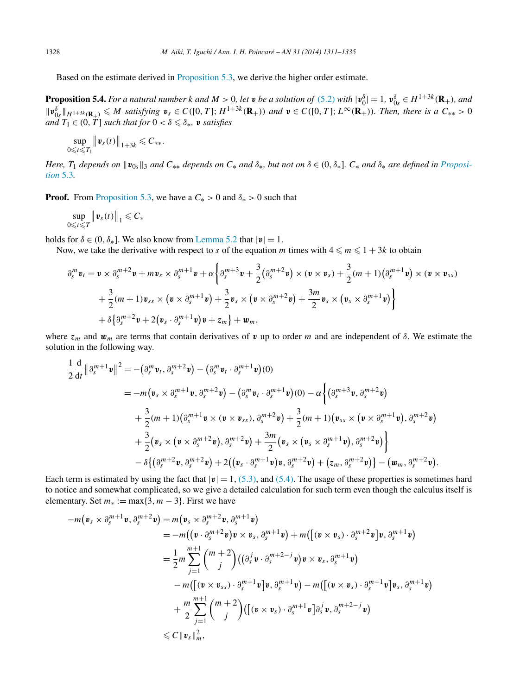Based on the estimate derived in [Proposition 5.3,](#page-15-0) we derive the higher order estimate.

**Proposition 5.4.** For a natural number k and  $M > 0$ , let v be a solution of [\(5.2\)](#page-14-0) with  $|v_0^{\delta}| = 1$ ,  $v_{0s}^{\delta} \in H^{1+3k}(\mathbf{R}_{+})$ , and  $||\mathbf{v}_{0s}^{\delta}||_{H^{1+3k}(\mathbf{R}_{+})} \leqslant M$  satisfying  $\mathbf{v}_{s} \in C([0, T]; H^{1+3k}(\mathbf{R}_{+}))$  and  $\mathbf{v} \in C([0, T]; L^{\infty}(\mathbf{R}_{+}))$ . Then, there is a  $C_{**} > 0$ *and*  $T_1 \in (0, T]$  *such that for*  $0 < \delta \leq \delta_*$ *, v satisfies* 

$$
\sup_{0\leqslant t\leqslant T_1}\left\|\boldsymbol{v}_s(t)\right\|_{1+3k}\leqslant C_{**}.
$$

Here,  $T_1$  depends on  $||\mathbf{v}_{0s}||_3$  and  $C_{**}$  depends on  $C_*$  and  $\delta_*$ , but not on  $\delta \in (0, \delta_*]$ .  $C_*$  and  $\delta_*$  are defined in [Proposi](#page-15-0)*[tion](#page-15-0)* 5.3*.*

**Proof.** From [Proposition](#page-15-0) 5.3, we have a  $C_* > 0$  and  $\delta_* > 0$  such that

sup 0*tT*  $\left\| \boldsymbol{v}_s(t) \right\|_1$  ≤  $C_*$ 

holds for  $\delta \in (0, \delta_*]$ . We also know from [Lemma 5.2](#page-13-0) that  $|\mathbf{v}| = 1$ .

Now, we take the derivative with respect to *s* of the equation *m* times with  $4 \le m \le 1 + 3k$  to obtain

$$
\partial_s^m \mathbf{v}_t = \mathbf{v} \times \partial_s^{m+2} \mathbf{v} + m \mathbf{v}_s \times \partial_s^{m+1} \mathbf{v} + \alpha \left\{ \partial_s^{m+3} \mathbf{v} + \frac{3}{2} (\partial_s^{m+2} \mathbf{v}) \times (\mathbf{v} \times \mathbf{v}_s) + \frac{3}{2} (m+1) (\partial_s^{m+1} \mathbf{v}) \times (\mathbf{v} \times \mathbf{v}_{ss}) \right. \\ \left. + \frac{3}{2} (m+1) \mathbf{v}_{ss} \times (\mathbf{v} \times \partial_s^{m+1} \mathbf{v}) + \frac{3}{2} \mathbf{v}_s \times (\mathbf{v} \times \partial_s^{m+2} \mathbf{v}) + \frac{3m}{2} \mathbf{v}_s \times (\mathbf{v}_s \times \partial_s^{m+1} \mathbf{v}) \right\} \\ + \delta \left\{ \partial_s^{m+2} \mathbf{v} + 2 (\mathbf{v}_s \cdot \partial_s^{m+1} \mathbf{v}) \mathbf{v} + z_m \right\} + \mathbf{w}_m,
$$

where *z<sup>m</sup>* and *w<sup>m</sup>* are terms that contain derivatives of *v* up to order *m* and are independent of *δ*. We estimate the solution in the following way.

$$
\frac{1}{2} \frac{d}{dt} ||\partial_s^{m+1} \mathbf{v}||^2 = -(\partial_s^m \mathbf{v}_t, \partial_s^{m+2} \mathbf{v}) - (\partial_s^m \mathbf{v}_t \cdot \partial_s^{m+1} \mathbf{v})(0)
$$
\n
$$
= -m(\mathbf{v}_s \times \partial_s^{m+1} \mathbf{v}, \partial_s^{m+2} \mathbf{v}) - (\partial_s^m \mathbf{v}_t \cdot \partial_s^{m+1} \mathbf{v})(0) - \alpha \left\{ (\partial_s^{m+3} \mathbf{v}, \partial_s^{m+2} \mathbf{v}) + \frac{3}{2} (m+1) (\partial_s^{m+1} \mathbf{v} \times (\mathbf{v} \times \mathbf{v}_{ss}), \partial_s^{m+2} \mathbf{v}) + \frac{3}{2} (m+1) (\mathbf{v}_{ss} \times (\mathbf{v} \times \partial_s^{m+1} \mathbf{v}), \partial_s^{m+2} \mathbf{v}) + \frac{3}{2} (\mathbf{v}_s \times (\mathbf{v} \times \partial_s^{m+2} \mathbf{v}), \partial_s^{m+2} \mathbf{v}) + \frac{3m}{2} (\mathbf{v}_s \times (\mathbf{v}_s \times \partial_s^{m+1} \mathbf{v}), \partial_s^{m+2} \mathbf{v}) \right\} - \delta \left\{ (\partial_s^{m+2} \mathbf{v}, \partial_s^{m+2} \mathbf{v}) + 2 ((\mathbf{v}_s \cdot \partial_s^{m+1} \mathbf{v}) \mathbf{v}, \partial_s^{m+2} \mathbf{v}) + (\mathbf{z}_m, \partial_s^{m+2} \mathbf{v}) \right\} - (\mathbf{w}_m, \partial_s^{m+2} \mathbf{v}).
$$

Each term is estimated by using the fact that  $|\mathbf{v}| = 1$ , [\(5.3\),](#page-14-0) and [\(5.4\).](#page-14-0) The usage of these properties is sometimes hard to notice and somewhat complicated, so we give a detailed calculation for such term even though the calculus itself is elementary. Set  $m_* := \max\{3, m-3\}$ . First we have

$$
-m(\mathbf{v}_s \times \partial_s^{m+1} \mathbf{v}, \partial_s^{m+2} \mathbf{v}) = m(\mathbf{v}_s \times \partial_s^{m+2} \mathbf{v}, \partial_s^{m+1} \mathbf{v})
$$
  
\n
$$
= -m((\mathbf{v} \cdot \partial_s^{m+2} \mathbf{v}) \mathbf{v} \times \mathbf{v}_s, \partial_s^{m+1} \mathbf{v}) + m((\mathbf{v} \times \mathbf{v}_s) \cdot \partial_s^{m+2} \mathbf{v} \mathbf{v}, \partial_s^{m+1} \mathbf{v})
$$
  
\n
$$
= \frac{1}{2}m \sum_{j=1}^{m+1} {m+2 \choose j} ((\partial_s^j \mathbf{v} \cdot \partial_s^{m+2-j} \mathbf{v}) \mathbf{v} \times \mathbf{v}_s, \partial_s^{m+1} \mathbf{v})
$$
  
\n
$$
-m((\mathbf{v} \times \mathbf{v}_{ss}) \cdot \partial_s^{m+1} \mathbf{v} \mathbf{v}) \cdot \partial_s^{m+1} \mathbf{v}) - m((\mathbf{v} \times \mathbf{v}_s) \cdot \partial_s^{m+1} \mathbf{v} \mathbf{v}) \cdot \partial_s^{m+1} \mathbf{v})
$$
  
\n
$$
+ \frac{m}{2} \sum_{j=1}^{m+1} {m+2 \choose j} ((\mathbf{v} \times \mathbf{v}_s) \cdot \partial_s^{m+1} \mathbf{v} \mathbf{v}) \partial_s^j \mathbf{v}, \partial_s^{m+2-j} \mathbf{v})
$$
  
\n
$$
\leq C \|\mathbf{v}_s\|_m^2,
$$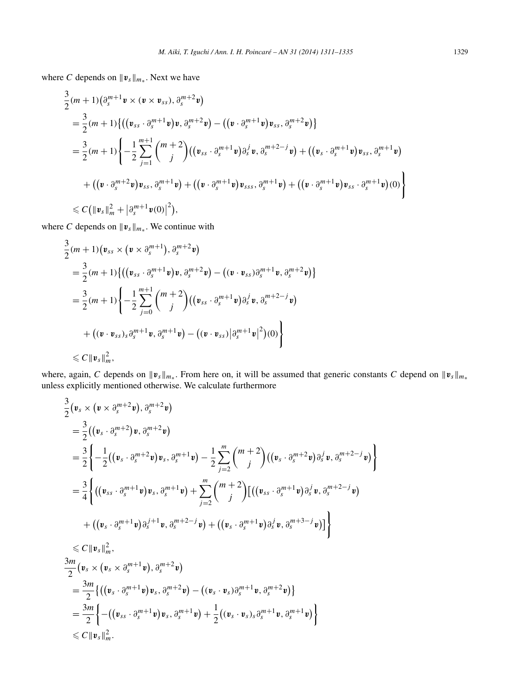where *C* depends on  $\|\mathbf{v}_s\|_{m_*}$ . Next we have

$$
\frac{3}{2}(m+1)\left(\partial_{s}^{m+1} \mathbf{v} \times (\mathbf{v} \times \mathbf{v}_{ss}), \partial_{s}^{m+2} \mathbf{v}\right) \n= \frac{3}{2}(m+1)\left\{\left((\mathbf{v}_{ss} \cdot \partial_{s}^{m+1} \mathbf{v})\mathbf{v}, \partial_{s}^{m+2} \mathbf{v}\right) - \left((\mathbf{v} \cdot \partial_{s}^{m+1} \mathbf{v})\mathbf{v}_{ss}, \partial_{s}^{m+2} \mathbf{v}\right)\right\} \n= \frac{3}{2}(m+1)\left\{-\frac{1}{2}\sum_{j=1}^{m+1} {m+2 \choose j} \left((\mathbf{v}_{ss} \cdot \partial_{s}^{m+1} \mathbf{v})\partial_{s}^{j} \mathbf{v}, \partial_{s}^{m+2-j} \mathbf{v}\right) + \left((\mathbf{v}_{s} \cdot \partial_{s}^{m+1} \mathbf{v})\mathbf{v}_{ss}, \partial_{s}^{m+1} \mathbf{v}\right) \n+ \left((\mathbf{v} \cdot \partial_{s}^{m+2} \mathbf{v})\mathbf{v}_{ss}, \partial_{s}^{m+1} \mathbf{v}\right) + \left((\mathbf{v} \cdot \partial_{s}^{m+1} \mathbf{v})\mathbf{v}_{ss}, \partial_{s}^{m+1} \mathbf{v}\right) + \left((\mathbf{v} \cdot \partial_{s}^{m+1} \mathbf{v})\mathbf{v}_{ss} \cdot \partial_{s}^{m+1} \mathbf{v}\right)(0)\right\} \n\leq C\left(\|\mathbf{v}_{s}\|_{m}^{2} + \left|\partial_{s}^{m+1} \mathbf{v}(0)\right|^{2}\right),
$$

where *C* depends on  $\|\mathbf{v}_s\|_{m_*}$ . We continue with

$$
\frac{3}{2}(m+1)(\mathbf{v}_{ss} \times (\mathbf{v} \times \partial_s^{m+1}), \partial_s^{m+2} \mathbf{v})
$$
\n
$$
= \frac{3}{2}(m+1)\{((\mathbf{v}_{ss} \cdot \partial_s^{m+1} \mathbf{v})\mathbf{v}, \partial_s^{m+2} \mathbf{v}) - ((\mathbf{v} \cdot \mathbf{v}_{ss})\partial_s^{m+1} \mathbf{v}, \partial_s^{m+2} \mathbf{v})\}
$$
\n
$$
= \frac{3}{2}(m+1)\left\{-\frac{1}{2}\sum_{j=0}^{m+1} {m+2 \choose j} ((\mathbf{v}_{ss} \cdot \partial_s^{m+1} \mathbf{v})\partial_s^j \mathbf{v}, \partial_s^{m+2-j} \mathbf{v})
$$
\n
$$
+ ((\mathbf{v} \cdot \mathbf{v}_{ss})_s \partial_s^{m+1} \mathbf{v}, \partial_s^{m+1} \mathbf{v}) - ((\mathbf{v} \cdot \mathbf{v}_{ss})|\partial_s^{m+1} \mathbf{v}|^2)(0)\right\}
$$
\n
$$
\leq C \|\mathbf{v}_s\|_m^2,
$$

where, again, *C* depends on  $\|\mathbf{v}_s\|_{m_*}$ . From here on, it will be assumed that generic constants *C* depend on  $\|\mathbf{v}_s\|_{m_*}$ unless explicitly mentioned otherwise. We calculate furthermore

 $\mathbf{I}$ 

$$
\frac{3}{2}(\mathbf{v}_{s} \times (\mathbf{v} \times \partial_{s}^{m+2}\mathbf{v}), \partial_{s}^{m+2}\mathbf{v})
$$
\n
$$
= \frac{3}{2}((\mathbf{v}_{s} \cdot \partial_{s}^{m+2})\mathbf{v}, \partial_{s}^{m+2}\mathbf{v})
$$
\n
$$
= \frac{3}{2}\Biggl\{-\frac{1}{2}((\mathbf{v}_{s} \cdot \partial_{s}^{m+2}\mathbf{v})\mathbf{v}_{s}, \partial_{s}^{m+1}\mathbf{v}) - \frac{1}{2}\sum_{j=2}^{m} {m+2 \choose j}((\mathbf{v}_{s} \cdot \partial_{s}^{m+2}\mathbf{v})\partial_{s}^{j}\mathbf{v}, \partial_{s}^{m+2-j}\mathbf{v})
$$
\n
$$
= \frac{3}{4}\Biggl\{\big((\mathbf{v}_{ss} \cdot \partial_{s}^{m+1}\mathbf{v})\mathbf{v}_{s}, \partial_{s}^{m+1}\mathbf{v}\big) + \sum_{j=2}^{m} {m+2 \choose j} [((\mathbf{v}_{ss} \cdot \partial_{s}^{m+1}\mathbf{v})\partial_{s}^{j}\mathbf{v}, \partial_{s}^{m+2-j}\mathbf{v}) + ((\mathbf{v}_{s} \cdot \partial_{s}^{m+1}\mathbf{v})\partial_{s}^{j}\mathbf{v}, \partial_{s}^{m+2-j}\mathbf{v})] \Biggr\}
$$
\n
$$
\leq C \|\mathbf{v}_{s}\|_{m}^{2},
$$
\n
$$
\frac{3m}{2}(\mathbf{v}_{s} \times (\mathbf{v}_{s} \times \partial_{s}^{m+1}\mathbf{v}), \partial_{s}^{m+2}\mathbf{v})
$$
\n
$$
= \frac{3m}{2}\biggl\{\big((\mathbf{v}_{s} \cdot \partial_{s}^{m+1}\mathbf{v})\mathbf{v}_{s}, \partial_{s}^{m+2}\mathbf{v}\big) - ((\mathbf{v}_{s} \cdot \mathbf{v}_{s})\partial_{s}^{m+1}\mathbf{v}, \partial_{s}^{m+2}\mathbf{v})\biggr\}
$$
\n
$$
= \frac{3m}{2}\Biggl\{-\big((\mathbf{v}_{ss} \cdot \partial_{s}^{m+1}\mathbf{v})\
$$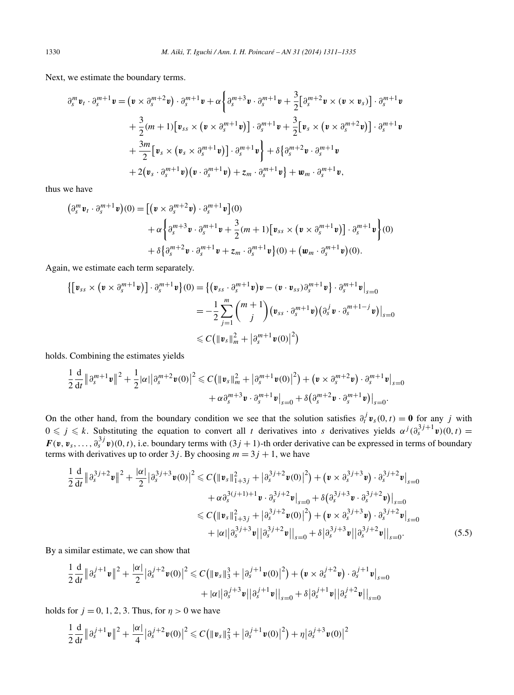<span id="page-19-0"></span>Next, we estimate the boundary terms.

$$
\partial_s^m \mathbf{v}_t \cdot \partial_s^{m+1} \mathbf{v} = (\mathbf{v} \times \partial_s^{m+2} \mathbf{v}) \cdot \partial_s^{m+1} \mathbf{v} + \alpha \left\{ \partial_s^{m+3} \mathbf{v} \cdot \partial_s^{m+1} \mathbf{v} + \frac{3}{2} \left[ \partial_s^{m+2} \mathbf{v} \times (\mathbf{v} \times \mathbf{v}_s) \right] \cdot \partial_s^{m+1} \mathbf{v} \right. \\ \left. + \frac{3}{2} (m+1) \left[ \mathbf{v}_{ss} \times (\mathbf{v} \times \partial_s^{m+1} \mathbf{v}) \right] \cdot \partial_s^{m+1} \mathbf{v} + \frac{3}{2} \left[ \mathbf{v}_s \times (\mathbf{v} \times \partial_s^{m+2} \mathbf{v}) \right] \cdot \partial_s^{m+1} \mathbf{v} \right. \\ \left. + \frac{3m}{2} \left[ \mathbf{v}_s \times (\mathbf{v}_s \times \partial_s^{m+1} \mathbf{v}) \right] \cdot \partial_s^{m+1} \mathbf{v} \right\} + \delta \left\{ \partial_s^{m+2} \mathbf{v} \cdot \partial_s^{m+1} \mathbf{v} \right. \\ \left. + 2 (\mathbf{v}_s \cdot \partial_s^{m+1} \mathbf{v}) (\mathbf{v} \cdot \partial_s^{m+1} \mathbf{v}) + z_m \cdot \partial_s^{m+1} \mathbf{v} \right\} + \mathbf{w}_m \cdot \partial_s^{m+1} \mathbf{v},
$$

thus we have

$$
\begin{split} \left(\partial_s^m \mathbf{v}_t \cdot \partial_s^{m+1} \mathbf{v}\right)(0) &= \left[ \left(\mathbf{v} \times \partial_s^{m+2} \mathbf{v}\right) \cdot \partial_s^{m+1} \mathbf{v} \right](0) \\ &+ \alpha \left\{ \partial_s^{m+3} \mathbf{v} \cdot \partial_s^{m+1} \mathbf{v} + \frac{3}{2} (m+1) \left[ \mathbf{v}_{ss} \times \left(\mathbf{v} \times \partial_s^{m+1} \mathbf{v}\right) \right] \cdot \partial_s^{m+1} \mathbf{v} \right\}(0) \\ &+ \delta \left\{ \partial_s^{m+2} \mathbf{v} \cdot \partial_s^{m+1} \mathbf{v} + z_m \cdot \partial_s^{m+1} \mathbf{v} \right\}(0) + \left(\mathbf{w}_m \cdot \partial_s^{m+1} \mathbf{v}\right)(0). \end{split}
$$

Again, we estimate each term separately.

$$
\begin{aligned} \left\{ \left[ \boldsymbol{v}_{ss} \times (\boldsymbol{v} \times \partial_{s}^{m+1} \boldsymbol{v}) \right] \cdot \partial_{s}^{m+1} \boldsymbol{v} \right\}(0) &= \left\{ \left( \boldsymbol{v}_{ss} \cdot \partial_{s}^{m+1} \boldsymbol{v} \right) \boldsymbol{v} - (\boldsymbol{v} \cdot \boldsymbol{v}_{ss}) \partial_{s}^{m+1} \boldsymbol{v} \right\} \cdot \partial_{s}^{m+1} \boldsymbol{v} \right\}_{s=0} \\ &= -\frac{1}{2} \sum_{j=1}^{m} \binom{m+1}{j} \left( \boldsymbol{v}_{ss} \cdot \partial_{s}^{m+1} \boldsymbol{v} \right) \left( \partial_{s}^{j} \boldsymbol{v} \cdot \partial_{s}^{m+1-j} \boldsymbol{v} \right) \Big|_{s=0} \\ &\leq C \left( \|\boldsymbol{v}_{s}\|_{m}^{2} + \left| \partial_{s}^{m+1} \boldsymbol{v}(0) \right|^{2} \right) \end{aligned}
$$

holds. Combining the estimates yields

$$
\frac{1}{2}\frac{\mathrm{d}}{\mathrm{d}t}\left\|\partial_{s}^{m+1} \mathbf{v}\right\|^{2}+\frac{1}{2}|\alpha|\left|\partial_{s}^{m+2} \mathbf{v}(0)\right|^{2} \leqslant C\big(\left\|\mathbf{v}_{s}\right\|_{m}^{2}+\left|\partial_{s}^{m+1} \mathbf{v}(0)\right|^{2}\big)+\left(\mathbf{v}\times\partial_{s}^{m+2} \mathbf{v}\right)\cdot\partial_{s}^{m+1} \mathbf{v}\right\|_{s=0}+\alpha \partial_{s}^{m+3} \mathbf{v}\cdot\partial_{s}^{m+1} \mathbf{v}\left\|_{s=0}+\delta\big(\partial_{s}^{m+2} \mathbf{v}\cdot\partial_{s}^{m+1} \mathbf{v}\big)\right\|_{s=0}.
$$

On the other hand, from the boundary condition we see that the solution satisfies  $\partial_t^j v_s(0,t) = 0$  for any *j* with  $0 \leqslant j \leqslant k$ . Substituting the equation to convert all *t* derivatives into *s* derivatives yields  $\alpha^{j}(\partial_{s}^{3j+1}v)(0, t) =$  $F(v, v_s, \ldots, \partial_s^{3j}v)(0, t)$ , i.e. boundary terms with  $(3j + 1)$ -th order derivative can be expressed in terms of boundary terms with derivatives up to order  $3j$ . By choosing  $m = 3j + 1$ , we have

$$
\frac{1}{2}\frac{d}{dt}\|\partial_s^{3j+2}v\|^2 + \frac{|\alpha|}{2}\|\partial_s^{3j+3}v(0)\|^2 \leq C\big(\|v_s\|_{1+3j}^2 + \|\partial_s^{3j+2}v(0)\|^2\big) + \big(v \times \partial_s^{3j+3}v\big) \cdot \partial_s^{3j+2}v\big|_{s=0}
$$
  
+  $\alpha \partial_s^{3(j+1)+1}v \cdot \partial_s^{3j+2}v\big|_{s=0} + \delta\big(\partial_s^{3j+3}v \cdot \partial_s^{3j+2}v\big)\big|_{s=0}$   
 $\leq C\big(\|v_s\|_{1+3j}^2 + \|\partial_s^{3j+2}v(0)\|^2\big) + \big(v \times \partial_s^{3j+3}v\big) \cdot \partial_s^{3j+2}v\big|_{s=0}$   
+  $|\alpha|\big|\partial_s^{3j+3}v\big|\big|\partial_s^{3j+2}v\big|\big|_{s=0} + \delta\big|\partial_s^{3j+3}v\big|\big|\partial_s^{3j+2}v\big|\big|_{s=0}.$  (5.5)

By a similar estimate, we can show that

$$
\frac{1}{2}\frac{d}{dt}\|\partial_s^{j+1} \mathbf{v}\|^2 + \frac{|\alpha|}{2}|\partial_s^{j+2} \mathbf{v}(0)|^2 \leq C\big(\|\mathbf{v}_s\|_3^3 + |\partial_s^{j+1} \mathbf{v}(0)|^2\big) + \big(\mathbf{v} \times \partial_s^{j+2} \mathbf{v}\big) \cdot \partial_s^{j+1} \mathbf{v}\big|_{s=0} + |\alpha| |\partial_s^{j+3} \mathbf{v}||\partial_s^{j+1} \mathbf{v}\big|\big|_{s=0} + \delta |\partial_s^{j+1} \mathbf{v}||\partial_s^{j+2} \mathbf{v}\big|\big|_{s=0}
$$

holds for  $j = 0, 1, 2, 3$ . Thus, for  $\eta > 0$  we have

$$
\frac{1}{2}\frac{\mathrm{d}}{\mathrm{d}t}\left\|\partial_{s}^{j+1} \mathbf{v}\right\|^{2}+\frac{|\alpha|}{4}\left|\partial_{s}^{j+2} \mathbf{v}(0)\right|^{2} \leqslant C\big(\|\mathbf{v}_{s}\|_{3}^{2}+\left|\partial_{s}^{j+1} \mathbf{v}(0)\right|^{2}\big)+\eta\big|\partial_{s}^{j+3} \mathbf{v}(0)\big|^{2}
$$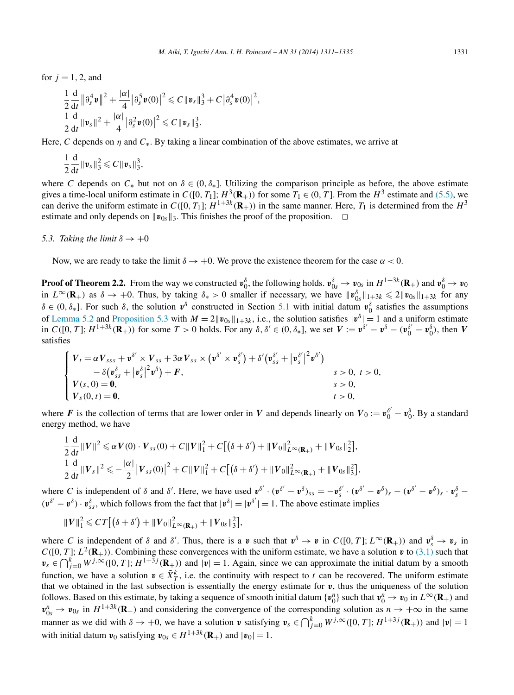for  $j = 1, 2$ , and

$$
\frac{1}{2}\frac{d}{dt}\|\partial_s^4\mathbf{v}\|^2 + \frac{|\alpha|}{4}\|\partial_s^5\mathbf{v}(0)\|^2 \leq C\|\mathbf{v}_s\|_3^3 + C\|\partial_s^4\mathbf{v}(0)\|^2,
$$
  

$$
\frac{1}{2}\frac{d}{dt}\|\mathbf{v}_s\|^2 + \frac{|\alpha|}{4}\|\partial_s^2\mathbf{v}(0)\|^2 \leq C\|\mathbf{v}_s\|_3^3.
$$

Here, *C* depends on *η* and *C*∗. By taking a linear combination of the above estimates, we arrive at

$$
\frac{1}{2}\frac{\mathrm{d}}{\mathrm{d}t}\|\mathbf{v}_s\|_3^2\leqslant C\|\mathbf{v}_s\|_3^3,
$$

where *C* depends on  $C_*$  but not on  $\delta \in (0, \delta_*]$ . Utilizing the comparison principle as before, the above estimate gives a time-local uniform estimate in  $C([0, T_1]; H^3(\mathbf{R}_+))$  for some  $T_1 \in (0, T]$ . From the  $H^3$  estimate and [\(5.5\),](#page-19-0) we can derive the uniform estimate in  $C([0, T_1]; H^{1+3k}(\mathbf{R}_+))$  in the same manner. Here,  $T_1$  is determined from the  $H^3$ estimate and only depends on  $\|\mathbf{v}_{0s}\|_3$ . This finishes the proof of the proposition.  $\Box$ 

#### *5.3. Taking the limit*  $\delta \rightarrow +0$

Now, we are ready to take the limit  $\delta \to +0$ . We prove the existence theorem for the case  $\alpha < 0$ .

**Proof of Theorem 2.2.** From the way we constructed  $v_0^{\delta}$ , the following holds.  $v_{0s}^{\delta} \to v_{0s}$  in  $H^{1+3k}(\mathbf{R}_+)$  and  $v_0^{\delta} \to v_0$ in  $L^{\infty}(\mathbf{R}_{+})$  as  $\delta \to +0$ . Thus, by taking  $\delta_{*} > 0$  smaller if necessary, we have  $||\mathbf{v}_{0s}^{\delta}||_{1+3k} \leq 2||\mathbf{v}_{0s}||_{1+3k}$  for any  $\delta \in (0, \delta_{*}]$ . For such  $\delta$ , the solution  $v^{\delta}$  constructed in Section [5.1](#page-10-0) with initial datum  $v_0^{\delta}$  satisfies the assumptions of [Lemma 5.2](#page-13-0) and [Proposition 5.3](#page-15-0) with  $M = 2||v_{0s}||_{1+3k}$ , i.e., the solution satisfies  $|v^{\delta}| = 1$  and a uniform estimate in  $C([0, T]; H^{1+3k}(\mathbf{R}_+))$  for some  $T > 0$  holds. For any  $\delta, \delta' \in (0, \delta_*]$ , we set  $V := \mathbf{v}^{\delta'} - \mathbf{v}^{\delta} - (\mathbf{v}_0^{\delta'} - \mathbf{v}_0^{\delta})$ , then V satisfies

$$
\begin{cases}\n\boldsymbol{V}_{t} = \alpha \boldsymbol{V}_{sss} + \boldsymbol{v}^{\delta'} \times \boldsymbol{V}_{ss} + 3\alpha \boldsymbol{V}_{ss} \times (\boldsymbol{v}^{\delta'} \times \boldsymbol{v}^{\delta'}_{s}) + \delta' (\boldsymbol{v}^{\delta'}_{ss} + |\boldsymbol{v}^{\delta'}_{s}|^{2} \boldsymbol{v}^{\delta'}) \\
-\delta (\boldsymbol{v}^{\delta}_{ss} + |\boldsymbol{v}^{\delta}_{s}|^{2} \boldsymbol{v}^{\delta}) + \boldsymbol{F}, \\
\boldsymbol{V}(s, 0) = \boldsymbol{0}, & s > 0, \ t > 0, \\
\boldsymbol{V}_{s}(0, t) = \boldsymbol{0}, & t > 0,\n\end{cases}
$$

where *F* is the collection of terms that are lower order in *V* and depends linearly on  $V_0 := v_0^{\delta'} - v_0^{\delta}$ . By a standard energy method, we have

$$
\frac{1}{2}\frac{\mathrm{d}}{\mathrm{d}t}||V||^2 \leq \alpha V(0) \cdot V_{ss}(0) + C||V||_1^2 + C[(\delta + \delta') + ||V_0||_{L^{\infty}(\mathbf{R}_+)}^2 + ||V_{0s}||_2^2],
$$
  

$$
\frac{1}{2}\frac{\mathrm{d}}{\mathrm{d}t}||V_s||^2 \leq -\frac{|\alpha|}{2}|V_{ss}(0)|^2 + C||V||_1^2 + C[(\delta + \delta') + ||V_0||_{L^{\infty}(\mathbf{R}_+)}^2 + ||V_{0s}||_3^2],
$$

where C is independent of  $\delta$  and  $\delta'$ . Here, we have used  $\mathbf{v}^{\delta'} \cdot (\mathbf{v}^{\delta'} - \mathbf{v}^{\delta})_{ss} = -\mathbf{v}_{s}^{\delta'} \cdot (\mathbf{v}^{\delta'} - \mathbf{v}^{\delta})_{s} - (\mathbf{v}^{\delta'} - \mathbf{v}^{\delta})_{s} \cdot \mathbf{v}_{s}^{\delta}$  $(v^{\delta'} - v^{\delta}) \cdot v_{ss}^{\delta}$ , which follows from the fact that  $|v^{\delta}| = |v^{\delta'}| = 1$ . The above estimate implies

$$
||V||_1^2 \leq C T [(\delta + \delta') + ||V_0||_{L^{\infty}(\mathbf{R}_+)}^2 + ||V_{0s}||_3^2],
$$

where C is independent of  $\delta$  and  $\delta'$ . Thus, there is a v such that  $v^{\delta} \to v$  in  $C([0, T]; L^{\infty}(\mathbf{R}_{+}))$  and  $v^{\delta}_{s} \to v_{s}$  in  $C([0, T]; L^2(\mathbf{R}_+))$ . Combining these convergences with the uniform estimate, we have a solution  $v$  to [\(3.1\)](#page-3-0) such that  $v_s \in \bigcap_{j=0}^k W^{j,\infty}([0,T]; H^{1+\frac{3}{2}j}(\mathbf{R}_+))$  and  $|v|=1$ . Again, since we can approximate the initial datum by a smooth function, we have a solution  $v \in \tilde{X}_T^k$ , i.e. the continuity with respect to *t* can be recovered. The uniform estimate that we obtained in the last subsection is essentially the energy estimate for  $v$ , thus the uniqueness of the solution follows. Based on this estimate, by taking a sequence of smooth initial datum  $\{v_0^n\}$  such that  $v_0^n \to v_0$  in  $L^\infty(\mathbf{R}_+)$  and  $v_{0s}^n \to v_{0s}$  in  $H^{1+3k}(\mathbf{R}_+)$  and considering the convergence of the corresponding solution as  $n \to +\infty$  in the same manner as we did with  $\delta \to +0$ , we have a solution *v* satisfying  $v_s \in \bigcap_{j=0}^k W^{j,\infty}([0,T]; H^{1+3j}(\mathbf{R}_+))$  and  $|v|=1$ with initial datum  $v_0$  satisfying  $v_{0s} \in H^{1+3k}(\mathbf{R}_+)$  and  $|v_0| = 1$ .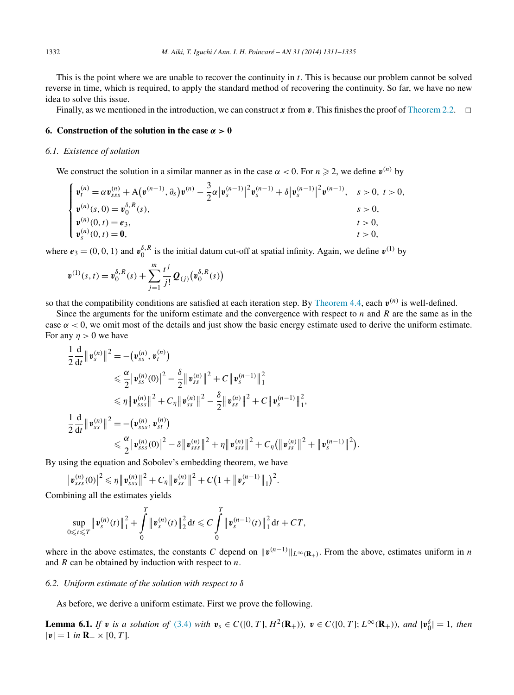<span id="page-21-0"></span>This is the point where we are unable to recover the continuity in *t*. This is because our problem cannot be solved reverse in time, which is required, to apply the standard method of recovering the continuity. So far, we have no new idea to solve this issue.

Finally, as we mentioned in the introduction, we can construct x from v. This finishes the proof of [Theorem 2.2.](#page-3-0)  $\Box$ 

## **6. Construction of the solution in the case**  $\alpha > 0$

## *6.1. Existence of solution*

We construct the solution in a similar manner as in the case  $\alpha < 0$ . For  $n \ge 2$ , we define  $v^{(n)}$  by

$$
\begin{cases}\n\mathbf{v}_{t}^{(n)} = \alpha \mathbf{v}_{sss}^{(n)} + A(\mathbf{v}^{(n-1)}, \partial_{s}) \mathbf{v}^{(n)} - \frac{3}{2} \alpha |\mathbf{v}_{s}^{(n-1)}|^{2} \mathbf{v}_{s}^{(n-1)} + \delta |\mathbf{v}_{s}^{(n-1)}|^{2} \mathbf{v}^{(n-1)}, & s > 0, t > 0, \\
\mathbf{v}^{(n)}(s, 0) = \mathbf{v}_{0}^{\delta, R}(s), & s > 0, \\
\mathbf{v}_{s}^{(n)}(0, t) = \mathbf{e}_{3}, & t > 0, \\
\mathbf{v}_{s}^{(n)}(0, t) = \mathbf{0}, & t > 0, \\
\end{cases}
$$

where  $e_3 = (0, 0, 1)$  and  $v_0^{\delta, R}$  is the initial datum cut-off at spatial infinity. Again, we define  $v^{(1)}$  by

$$
\bm{v}^{(1)}(s,t) = \bm{v}_0^{\delta,R}(s) + \sum_{j=1}^m \frac{t^j}{j!} \mathcal{Q}_{(j)}(\bm{v}_0^{\delta,R}(s))
$$

so that the compatibility conditions are satisfied at each iteration step. By [Theorem 4.4,](#page-10-0) each *v(n)* is well-defined.

Since the arguments for the uniform estimate and the convergence with respect to *n* and *R* are the same as in the case  $\alpha$  < 0, we omit most of the details and just show the basic energy estimate used to derive the uniform estimate. For any  $\eta > 0$  we have

$$
\frac{1}{2}\frac{d}{dt}\|\mathbf{v}_{s}^{(n)}\|^{2} = -(\mathbf{v}_{ss}^{(n)}, \mathbf{v}_{t}^{(n)})
$$
\n
$$
\leq \frac{\alpha}{2}|\mathbf{v}_{ss}^{(n)}(0)|^{2} - \frac{\delta}{2}\|\mathbf{v}_{ss}^{(n)}\|^{2} + C\|\mathbf{v}_{s}^{(n-1)}\|_{1}^{2}
$$
\n
$$
\leq \eta \|\mathbf{v}_{sss}^{(n)}\|^{2} + C_{\eta}\|\mathbf{v}_{ss}^{(n)}\|^{2} - \frac{\delta}{2}\|\mathbf{v}_{ss}^{(n)}\|^{2} + C\|\mathbf{v}_{s}^{(n-1)}\|_{1}^{2},
$$
\n
$$
\frac{1}{2}\frac{d}{dt}\|\mathbf{v}_{ss}^{(n)}\|^{2} = -(\mathbf{v}_{sss}^{(n)}, \mathbf{v}_{st}^{(n)})
$$
\n
$$
\leq \frac{\alpha}{2}|\mathbf{v}_{sss}^{(n)}(0)|^{2} - \delta\|\mathbf{v}_{sss}^{(n)}\|^{2} + \eta\|\mathbf{v}_{sss}^{(n)}\|^{2} + C_{\eta}(\|\mathbf{v}_{ss}^{(n)}\|^{2} + \|\mathbf{v}_{s}^{(n-1)}\|^{2}).
$$

By using the equation and Sobolev's embedding theorem, we have

$$
\left|\mathbf{v}_{sss}^{(n)}(0)\right|^2 \leqslant \eta \left|\left|\mathbf{v}_{sss}^{(n)}\right|\right|^2 + C_{\eta} \left|\left|\mathbf{v}_{ss}^{(n)}\right|\right|^2 + C \big(1 + \left|\left|\mathbf{v}_{s}^{(n-1)}\right|\right|_1\big)^2.
$$

Combining all the estimates yields

$$
\sup_{0\leqslant t\leqslant T}\|\mathbf{v}_s^{(n)}(t)\|_1^2+\int\limits_0^T\|\mathbf{v}_s^{(n)}(t)\|_2^2\,\mathrm{d}t\leqslant C\int\limits_0^T\|\mathbf{v}_s^{(n-1)}(t)\|_1^2\,\mathrm{d}t+C T,
$$

where in the above estimates, the constants *C* depend on  $\|\mathbf{v}^{(n-1)}\|_{L^{\infty}(\mathbf{R}_+)}$ . From the above, estimates uniform in *n* and *R* can be obtained by induction with respect to *n*.

# *6.2. Uniform estimate of the solution with respect to δ*

As before, we derive a uniform estimate. First we prove the following.

**Lemma 6.1.** If **v** is a solution of [\(3.4\)](#page-4-0) with  $v_s \in C([0, T], H^2(\mathbf{R}_+))$ ,  $v \in C([0, T]; L^{\infty}(\mathbf{R}_+))$ , and  $|v_0^{\delta}| = 1$ , then  $|\mathbf{v}| = 1$  *in*  $\mathbf{R}_{+} \times [0, T]$ *.*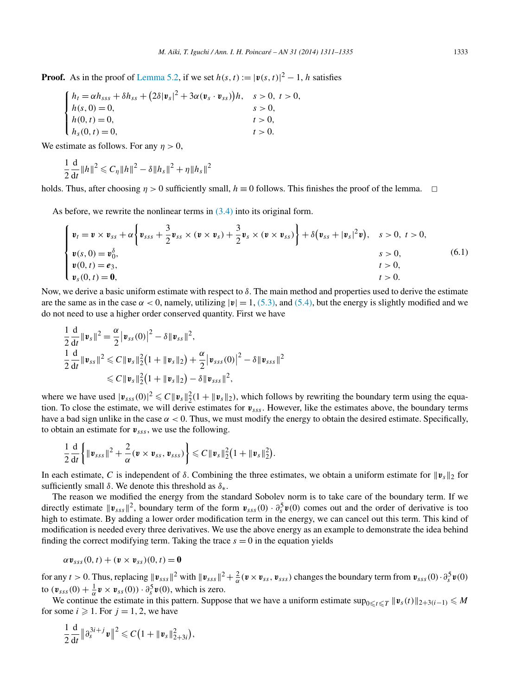<span id="page-22-0"></span>**Proof.** As in the proof of [Lemma 5.2,](#page-13-0) if we set  $h(s, t) := |v(s, t)|^2 - 1$ , *h* satisfies

$$
\begin{cases}\nh_t = \alpha h_{sss} + \delta h_{ss} + (2\delta |\mathbf{v}_s|^2 + 3\alpha (\mathbf{v}_s \cdot \mathbf{v}_{ss}))h, & s > 0, \ t > 0, \\
h(s, 0) = 0, & s > 0, \\
h(0, t) = 0, & t > 0, \\
h_s(0, t) = 0, & t > 0.\n\end{cases}
$$

We estimate as follows. For any  $\eta > 0$ ,

$$
\frac{1}{2}\frac{\mathrm{d}}{\mathrm{d}t}\|h\|^2 \leqslant C_\eta \|h\|^2 - \delta \|h_s\|^2 + \eta \|h_s\|^2
$$

holds. Thus, after choosing  $\eta > 0$  sufficiently small,  $h \equiv 0$  follows. This finishes the proof of the lemma.  $\Box$ 

As before, we rewrite the nonlinear terms in [\(3.4\)](#page-4-0) into its original form.

$$
\begin{cases}\n\mathbf{v}_t = \mathbf{v} \times \mathbf{v}_{ss} + \alpha \left\{ \mathbf{v}_{sss} + \frac{3}{2} \mathbf{v}_{ss} \times (\mathbf{v} \times \mathbf{v}_s) + \frac{3}{2} \mathbf{v}_s \times (\mathbf{v} \times \mathbf{v}_{ss}) \right\} + \delta (\mathbf{v}_{ss} + |\mathbf{v}_s|^2 \mathbf{v}), \quad s > 0, \ t > 0, \\
\mathbf{v}(s, 0) = \mathbf{v}_0^{\delta}, & s > 0, \\
\mathbf{v}(0, t) = \mathbf{e}_3, & t > 0, \\
\mathbf{v}_s(0, t) = \mathbf{0}, & t > 0.\n\end{cases}
$$
\n(6.1)

Now, we derive a basic uniform estimate with respect to *δ*. The main method and properties used to derive the estimate are the same as in the case  $\alpha$  < 0, namely, utilizing  $|v| = 1$ , [\(5.3\),](#page-14-0) and [\(5.4\),](#page-14-0) but the energy is slightly modified and we do not need to use a higher order conserved quantity. First we have

$$
\frac{1}{2} \frac{d}{dt} ||\mathbf{v}_s||^2 = \frac{\alpha}{2} |\mathbf{v}_{ss}(0)|^2 - \delta ||\mathbf{v}_{ss}||^2,
$$
\n
$$
\frac{1}{2} \frac{d}{dt} ||\mathbf{v}_{ss}||^2 \leq C ||\mathbf{v}_s||_2^2 (1 + ||\mathbf{v}_s||_2) + \frac{\alpha}{2} |\mathbf{v}_{sss}(0)|^2 - \delta ||\mathbf{v}_{sss}||^2
$$
\n
$$
\leq C ||\mathbf{v}_s||_2^2 (1 + ||\mathbf{v}_s||_2) - \delta ||\mathbf{v}_{sss}||^2,
$$

where we have used  $|v_{sss}(0)|^2 \leq C ||v_s||_2^2 (1 + ||v_s||_2)$ , which follows by rewriting the boundary term using the equation. To close the estimate, we will derive estimates for *vsss*. However, like the estimates above, the boundary terms have a bad sign unlike in the case  $\alpha < 0$ . Thus, we must modify the energy to obtain the desired estimate. Specifically, to obtain an estimate for *vsss*, we use the following.

$$
\frac{1}{2}\frac{\mathrm{d}}{\mathrm{d}t}\bigg\{\|\boldsymbol{v}_{sss}\|^2+\frac{2}{\alpha}(\boldsymbol{v}\times\boldsymbol{v}_{ss},\boldsymbol{v}_{sss})\bigg\}\leqslant C\|\boldsymbol{v}_s\|_2^2\big(1+\|\boldsymbol{v}_s\|_2^2\big).
$$

In each estimate, *C* is independent of *δ*. Combining the three estimates, we obtain a uniform estimate for  $|v_s|$ <sub>2</sub> for sufficiently small *δ*. We denote this threshold as *δ*∗.

The reason we modified the energy from the standard Sobolev norm is to take care of the boundary term. If we directly estimate  $\|\mathbf{v}_{sss}\|^2$ , boundary term of the form  $\mathbf{v}_{sss}(0) \cdot \partial_s^5 \mathbf{v}(0)$  comes out and the order of derivative is too high to estimate. By adding a lower order modification term in the energy, we can cancel out this term. This kind of modification is needed every three derivatives. We use the above energy as an example to demonstrate the idea behind finding the correct modifying term. Taking the trace  $s = 0$  in the equation yields

$$
\alpha \mathbf{v}_{sss}(0,t) + (\mathbf{v} \times \mathbf{v}_{ss})(0,t) = \mathbf{0}
$$

for any  $t > 0$ . Thus, replacing  $||\mathbf{v}_{sss}||^2$  with  $||\mathbf{v}_{sss}||^2 + \frac{2}{\alpha}(\mathbf{v} \times \mathbf{v}_{ss}, \mathbf{v}_{sss})$  changes the boundary term from  $\mathbf{v}_{sss}(0) \cdot \partial_s^5 \mathbf{v}(0)$ to  $(\mathbf{v}_{sss}(0) + \frac{1}{\alpha}\mathbf{v} \times \mathbf{v}_{ss}(0)) \cdot \partial_s^5 \mathbf{v}(0)$ , which is zero.

We continue the estimate in this pattern. Suppose that we have a uniform estimate  $\sup_{0 \le t \le T} ||v_s(t)||_{2+3(i-1)} \le M$ for some  $i \geqslant 1$ . For  $j = 1, 2$ , we have

$$
\frac{1}{2}\frac{\mathrm{d}}{\mathrm{d}t}\|\partial_s^{3i+j}\,\mathbf{v}\|^2\leqslant C\big(1+\|\mathbf{v}_s\|_{2+3i}^2\big),\,
$$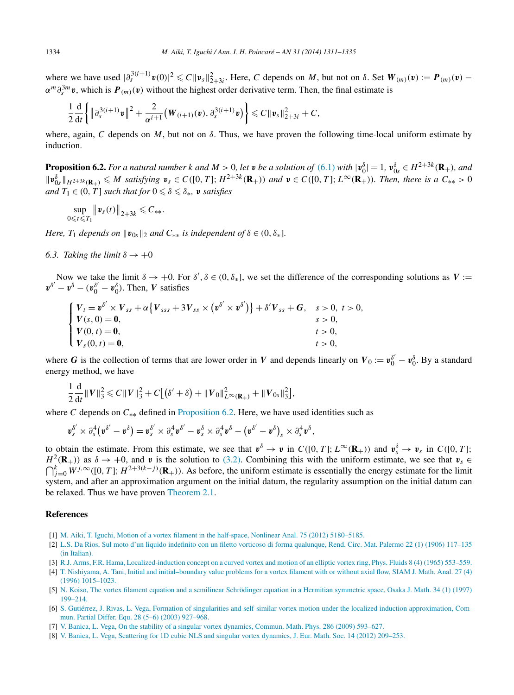<span id="page-23-0"></span>where we have used  $|\partial_s^{3(i+1)} \mathbf{v}(0)|^2 \leq C \|\mathbf{v}_s\|_{2+3i}^2$ . Here, C depends on M, but not on  $\delta$ . Set  $W_{(m)}(\mathbf{v}) := \mathbf{P}_{(m)}(\mathbf{v})$  $\alpha^m \partial_s^{3m} v$ , which is  $P_{(m)}(v)$  without the highest order derivative term. Then, the final estimate is

$$
\frac{1}{2}\frac{\mathrm{d}}{\mathrm{d}t}\bigg\{\|\partial_s^{3(i+1)}\mathbf{v}\|^2+\frac{2}{\alpha^{i+1}}\big(\mathbf{W}_{(i+1)}(\mathbf{v}),\partial_s^{3(i+1)}\mathbf{v}\big)\bigg\}\leqslant C\|\mathbf{v}_s\|_{2+3i}^2+C,
$$

where, again, *C* depends on *M*, but not on *δ*. Thus, we have proven the following time-local uniform estimate by induction.

**Proposition 6.2.** For a natural number k and  $M > 0$ , let v be a solution of [\(6.1\)](#page-22-0) with  $|v_0^{\delta}| = 1$ ,  $v_{0s}^{\delta} \in H^{2+3k}(\mathbf{R}_{+})$ , and  $||\mathbf{v}_{0s}^{\delta}||_{H^{2+3k}(\mathbf{R}_{+})} \leqslant M$  satisfying  $\mathbf{v}_{s} \in C([0, T]; H^{2+3k}(\mathbf{R}_{+}))$  and  $\mathbf{v} \in C([0, T]; L^{\infty}(\mathbf{R}_{+}))$ . Then, there is a  $C_{**} > 0$ *and*  $T_1 \in (0, T]$  *such that for*  $0 \le \delta \le \delta_*$ , *v satisfies* 

$$
\sup_{0\leqslant t\leqslant T_1}\big\|\mathbf{v}_s(t)\big\|_{2+3k}\leqslant C_{\ast\ast}.
$$

*Here,*  $T_1$  *depends on*  $\|\mathbf{v}_{0s}\|_2$  *and*  $C_{**}$  *is independent of*  $\delta \in (0, \delta_*]$ *.* 

*6.3. Taking the limit*  $\delta \rightarrow +0$ 

Now we take the limit  $\delta \to +0$ . For  $\delta', \delta \in (0, \delta_*]$ , we set the difference of the corresponding solutions as  $V :=$  $v^{\delta'} - v^{\delta} - (v_0^{\delta'} - v_0^{\delta})$ . Then, *V* satisfies

$$
\begin{cases}\nV_t = \mathbf{v}^{\delta'} \times V_{ss} + \alpha \{ V_{sss} + 3V_{ss} \times (\mathbf{v}^{\delta'} \times \mathbf{v}^{\delta'}) \} + \delta' V_{ss} + G, & s > 0, t > 0, \\
V(s, 0) = \mathbf{0}, & s > 0, \\
V(0, t) = \mathbf{0}, & t > 0, \\
V_s(0, t) = \mathbf{0}, & t > 0, \\
V_s(0, t) = \mathbf{0}, & t > 0,\n\end{cases}
$$

where *G* is the collection of terms that are lower order in *V* and depends linearly on  $V_0 := v_0^{\delta'} - v_0^{\delta}$ . By a standard energy method, we have

$$
\frac{1}{2}\frac{\mathrm{d}}{\mathrm{d}t}||V||_3^2 \leqslant C||V||_3^2 + C[(\delta' + \delta) + ||V_0||_{L^{\infty}(\mathbf{R}_+)}^2 + ||V_{0s}||_3^2],
$$

where *C* depends on  $C_{**}$  defined in Proposition 6.2. Here, we have used identities such as

$$
\mathbf{v}_s^{\delta'}\times \partial_s^4(\mathbf{v}^{\delta'}-\mathbf{v}^\delta)=\mathbf{v}_s^{\delta'}\times \partial_s^4\mathbf{v}^{\delta'}-\mathbf{v}_s^{\delta}\times \partial_s^4\mathbf{v}^\delta-\left(\mathbf{v}^{\delta'}-\mathbf{v}^\delta\right)_s\times \partial_s^4\mathbf{v}^\delta,
$$

to obtain the estimate. From this estimate, we see that  $v^{\delta} \to v$  in  $C([0, T]; L^{\infty}(\mathbb{R}_{+}))$  and  $v^{\delta}_{s} \to v_{s}$  in  $C([0, T];$  $H^2(\mathbf{R}_+)$ ) as  $\delta \to +0$ , and *v* is the solution to [\(3.2\).](#page-3-0) Combining this with the uniform estimate, we see that  $v_s \in$  $\bigcap_{j=0}^{k}$  *W*<sup>*j*,∞</sup>([0, *T*]; *H*<sup>2+3(*k*−*j*)(**R**<sub>+</sub>)). As before, the uniform estimate is essentially the energy estimate for the limit</sup> system, and after an approximation argument on the initial datum, the regularity assumption on the initial datum can be relaxed. Thus we have proven [Theorem 2.1.](#page-3-0)

#### **References**

- [1] [M. Aiki, T. Iguchi, Motion of a vortex filament in the half-space, Nonlinear Anal. 75 \(2012\) 5180–5185.](http://refhub.elsevier.com/S0294-1449(13)00114-5/bib3131s1)
- [2] L.S. [Da Rios, Sul moto d'un liquido indefinito con un filetto vorticoso di forma qualunque, Rend. Circ. Mat. Palermo 22 \(1\) \(1906\) 117–135](http://refhub.elsevier.com/S0294-1449(13)00114-5/bib3133s1) [\(in Italian\).](http://refhub.elsevier.com/S0294-1449(13)00114-5/bib3133s1)
- [3] R.J. [Arms, F.R. Hama, Localized-induction concept on a curved vortex and motion of an elliptic vortex ring, Phys. Fluids 8 \(4\) \(1965\) 553–559.](http://refhub.elsevier.com/S0294-1449(13)00114-5/bib3134s1)
- [4] [T. Nishiyama, A. Tani, Initial and initial–boundary value problems for a vortex filament with or without axial flow, SIAM J. Math. Anal. 27 \(4\)](http://refhub.elsevier.com/S0294-1449(13)00114-5/bib35s1) [\(1996\) 1015–1023.](http://refhub.elsevier.com/S0294-1449(13)00114-5/bib35s1)
- [5] N. [Koiso, The vortex filament equation and a semilinear Schrödinger equation in a Hermitian symmetric space, Osaka J. Math. 34 \(1\) \(1997\)](http://refhub.elsevier.com/S0294-1449(13)00114-5/bib3132s1) [199–214.](http://refhub.elsevier.com/S0294-1449(13)00114-5/bib3132s1)
- [6] S. [Gutiérrez, J. Rivas, L. Vega, Formation of singularities and self-similar vortex motion under the localized induction approximation, Com](http://refhub.elsevier.com/S0294-1449(13)00114-5/bib3135s1)[mun. Partial Differ. Equ. 28 \(5–6\) \(2003\) 927–968.](http://refhub.elsevier.com/S0294-1449(13)00114-5/bib3135s1)
- [7] [V. Banica, L. Vega, On the stability of a singular vortex dynamics, Commun. Math. Phys. 286 \(2009\) 593–627.](http://refhub.elsevier.com/S0294-1449(13)00114-5/bib3136s1)
- [8] [V. Banica, L. Vega, Scattering for 1D cubic NLS and singular vortex dynamics, J. Eur. Math. Soc. 14 \(2012\) 209–253.](http://refhub.elsevier.com/S0294-1449(13)00114-5/bib3137s1)